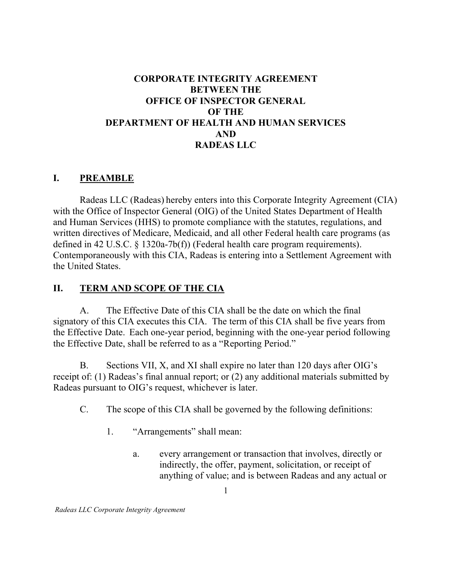### BETWEEN THE OFFICE OF INSPECTOR GENERAL OF THE DEPARTMENT OF HEALTH AND HUMAN SERVICES CORPORATE INTEGRITY AGREEMENT AND RADEAS LLC

### I. PREAMBLE

 Radeas LLC (Radeas) hereby enters into this Corporate Integrity Agreement (CIA) with the Office of Inspector General (OIG) of the United States Department of Health and Human Services (HHS) to promote compliance with the statutes, regulations, and written directives of Medicare, Medicaid, and all other Federal health care programs (as defined in 42 U.S.C. § 1320a-7b(f)) (Federal health care program requirements). Contemporaneously with this CIA, Radeas is entering into a Settlement Agreement with the United States.

### II. TERM AND SCOPE OF THE CIA

 $A_{\cdot}$  signatory of this CIA executes this CIA. The term of this CIA shall be five years from the Effective Date. Each one-year period, beginning with the one-year period following the Effective Date, shall be referred to as a "Reporting Period." The Effective Date of this CIA shall be the date on which the final

 $B<sub>1</sub>$  receipt of: (1) Radeas's final annual report; or (2) any additional materials submitted by Radeas pursuant to OIG's request, whichever is later. B. Sections VII, X, and XI shall expire no later than 120 days after OIG's

- $C_{\cdot}$ The scope of this CIA shall be governed by the following definitions:
	- 1. "Arrangements" shall mean:
		- a. indirectly, the offer, payment, solicitation, or receipt of anything of value; and is between Radeas and any actual or every arrangement or transaction that involves, directly or

1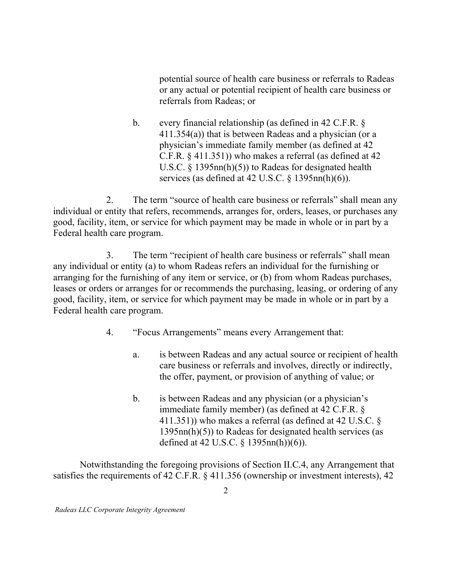potential source of health care business or referrals to Radeas or any actual or potential recipient of health care business or referrals from Radeas; or

 $\mathbf{b}$ . 411.354(a)) that is between Radeas and a physician (or a physician's immediate family member (as defined at 42 C.F.R. § 411.351)) who makes a referral (as defined at 42 U.S.C. § 1395nn(h)(5)) to Radeas for designated health services (as defined at 42 U.S.C.  $\S$  1395nn(h)(6)). every financial relationship (as defined in 42 C.F.R.  $\S$ 

 $2^{1}$  individual or entity that refers, recommends, arranges for, orders, leases, or purchases any good, facility, item, or service for which payment may be made in whole or in part by a Federal health care program. The term "source of health care business or referrals" shall mean any

 $\overline{3}$ . any individual or entity (a) to whom Radeas refers an individual for the furnishing or arranging for the furnishing of any item or service, or (b) from whom Radeas purchases, leases or orders or arranges for or recommends the purchasing, leasing, or ordering of any good, facility, item, or service for which payment may be made in whole or in part by a Federal health care program. The term "recipient of health care business or referrals" shall mean

- $\overline{4}$ . "Focus Arrangements" means every Arrangement that:
	- $a<sub>z</sub>$  care business or referrals and involves, directly or indirectly, the offer, payment, or provision of anything of value; or is between Radeas and any actual source or recipient of health
	- $\mathbf{b}$ . immediate family member) (as defined at 42 C.F.R. § 411.351)) who makes a referral (as defined at 42 U.S.C. § 1395nn(h)(5)) to Radeas for designated health services (as defined at 42 U.S.C. § 1395nn(h))(6)). is between Radeas and any physician (or a physician's

 Notwithstanding the foregoing provisions of Section II.C.4, any Arrangement that satisfies the requirements of 42 C.F.R. § 411.356 (ownership or investment interests), 42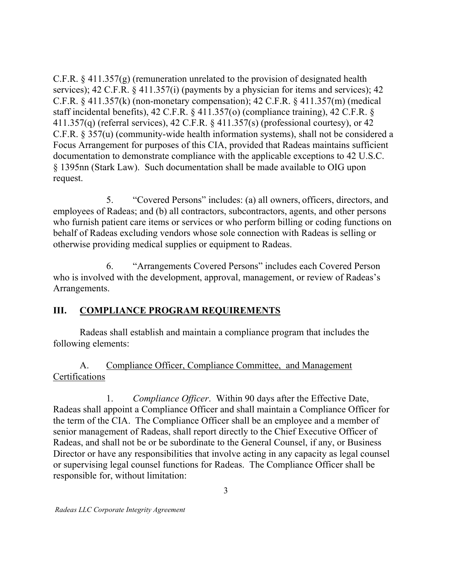C.F.R. § 411.357(g) (remuneration unrelated to the provision of designated health services); 42 C.F.R. § 411.357(i) (payments by a physician for items and services); 42 C.F.R.  $\S$  411.357(k) (non-monetary compensation); 42 C.F.R.  $\S$  411.357(m) (medical staff incidental benefits), 42 C.F.R. § 411.357(o) (compliance training), 42 C.F.R. § 411.357(q) (referral services), 42 C.F.R. § 411.357(s) (professional courtesy), or 42 C.F.R. § 357(u) (community-wide health information systems), shall not be considered a Focus Arrangement for purposes of this CIA, provided that Radeas maintains sufficient documentation to demonstrate compliance with the applicable exceptions to 42 U.S.C. § 1395nn (Stark Law). Such documentation shall be made available to OIG upon request.

 $5<sub>1</sub>$  employees of Radeas; and (b) all contractors, subcontractors, agents, and other persons who furnish patient care items or services or who perform billing or coding functions on behalf of Radeas excluding vendors whose sole connection with Radeas is selling or otherwise providing medical supplies or equipment to Radeas. 5. "Covered Persons" includes: (a) all owners, officers, directors, and

6. who is involved with the development, approval, management, or review of Radeas's "Arrangements Covered Persons" includes each Covered Person Arrangements.

# III. COMPLIANCE PROGRAM REQUIREMENTS

 Radeas shall establish and maintain a compliance program that includes the following elements:

### $A_{\cdot}$ Compliance Officer, Compliance Committee, and Management Certifications

1. Radeas shall appoint a Compliance Officer and shall maintain a Compliance Officer for the term of the CIA. The Compliance Officer shall be an employee and a member of senior management of Radeas, shall report directly to the Chief Executive Officer of Radeas, and shall not be or be subordinate to the General Counsel, if any, or Business Director or have any responsibilities that involve acting in any capacity as legal counsel or supervising legal counsel functions for Radeas. The Compliance Officer shall be responsible for, without limitation: Compliance Officer. Within 90 days after the Effective Date,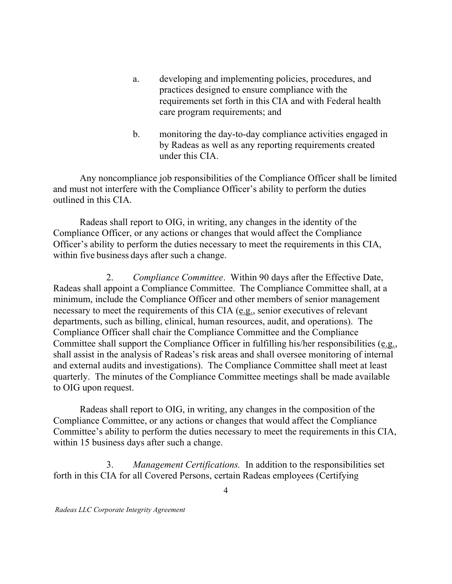- a. developing and implementing policies, procedures, and practices designed to ensure compliance with the requirements set forth in this CIA and with Federal health care program requirements; and
- b. monitoring the day-to-day compliance activities engaged in by Radeas as well as any reporting requirements created under this CIA.

 Any noncompliance job responsibilities of the Compliance Officer shall be limited and must not interfere with the Compliance Officer's ability to perform the duties outlined in this CIA.

 Radeas shall report to OIG, in writing, any changes in the identity of the Compliance Officer, or any actions or changes that would affect the Compliance Officer's ability to perform the duties necessary to meet the requirements in this CIA, within five business days after such a change.

 $2.$  Radeas shall appoint a Compliance Committee. The Compliance Committee shall, at a minimum, include the Compliance Officer and other members of senior management necessary to meet the requirements of this CIA (e.g., senior executives of relevant departments, such as billing, clinical, human resources, audit, and operations). The Compliance Officer shall chair the Compliance Committee and the Compliance Committee shall support the Compliance Officer in fulfilling his/her responsibilities (e.g., shall assist in the analysis of Radeas's risk areas and shall oversee monitoring of internal and external audits and investigations). The Compliance Committee shall meet at least quarterly. The minutes of the Compliance Committee meetings shall be made available to OIG upon request. 2. Compliance Committee. Within 90 days after the Effective Date,

 Radeas shall report to OIG, in writing, any changes in the composition of the Compliance Committee, or any actions or changes that would affect the Compliance Committee's ability to perform the duties necessary to meet the requirements in this CIA, within 15 business days after such a change.

3. Management Certifications. In addition to the responsibilities set forth in this CIA for all Covered Persons, certain Radeas employees (Certifying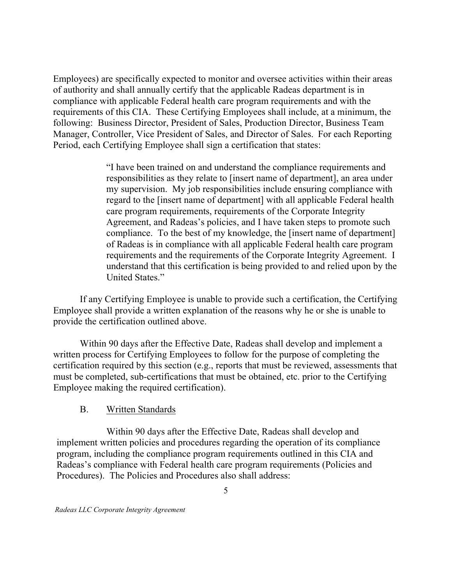Employees) are specifically expected to monitor and oversee activities within their areas of authority and shall annually certify that the applicable Radeas department is in compliance with applicable Federal health care program requirements and with the requirements of this CIA. These Certifying Employees shall include, at a minimum, the following: Business Director, President of Sales, Production Director, Business Team Manager, Controller, Vice President of Sales, and Director of Sales. For each Reporting Period, each Certifying Employee shall sign a certification that states:

> "I have been trained on and understand the compliance requirements and responsibilities as they relate to [insert name of department], an area under my supervision. My job responsibilities include ensuring compliance with regard to the [insert name of department] with all applicable Federal health care program requirements, requirements of the Corporate Integrity Agreement, and Radeas's policies, and I have taken steps to promote such compliance. To the best of my knowledge, the [insert name of department] of Radeas is in compliance with all applicable Federal health care program requirements and the requirements of the Corporate Integrity Agreement. I understand that this certification is being provided to and relied upon by the United States."

 If any Certifying Employee is unable to provide such a certification, the Certifying Employee shall provide a written explanation of the reasons why he or she is unable to provide the certification outlined above.

 Within 90 days after the Effective Date, Radeas shall develop and implement a written process for Certifying Employees to follow for the purpose of completing the certification required by this section (e.g., reports that must be reviewed, assessments that must be completed, sub-certifications that must be obtained, etc. prior to the Certifying Employee making the required certification).

#### $B<sub>r</sub>$ Written Standards

 Within 90 days after the Effective Date, Radeas shall develop and implement written policies and procedures regarding the operation of its compliance program, including the compliance program requirements outlined in this CIA and Radeas's compliance with Federal health care program requirements (Policies and Procedures). The Policies and Procedures also shall address: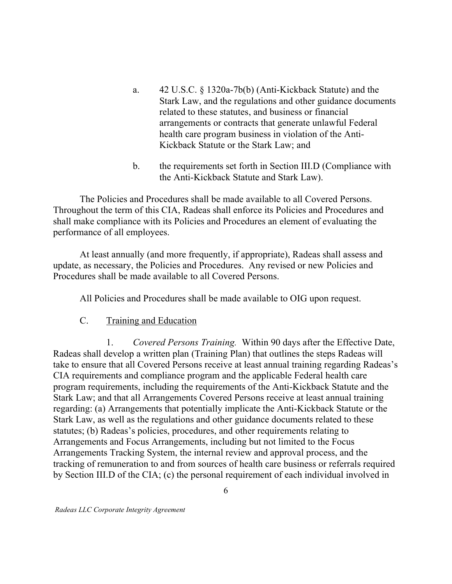- a. Stark Law, and the regulations and other guidance documents related to these statutes, and business or financial arrangements or contracts that generate unlawful Federal health care program business in violation of the Anti- Kickback Statute or the Stark Law; and a. 42 U.S.C. § 1320a-7b(b) (Anti-Kickback Statute) and the
- $\mathbf{b}$ . the Anti-Kickback Statute and Stark Law). b. the requirements set forth in Section III.D (Compliance with

 The Policies and Procedures shall be made available to all Covered Persons. Throughout the term of this CIA, Radeas shall enforce its Policies and Procedures and shall make compliance with its Policies and Procedures an element of evaluating the performance of all employees.

 At least annually (and more frequently, if appropriate), Radeas shall assess and update, as necessary, the Policies and Procedures. Any revised or new Policies and Procedures shall be made available to all Covered Persons.

All Policies and Procedures shall be made available to OIG upon request.

 $C_{\cdot}$ Training and Education

 $1_{-}$  Radeas shall develop a written plan (Training Plan) that outlines the steps Radeas will take to ensure that all Covered Persons receive at least annual training regarding Radeas's CIA requirements and compliance program and the applicable Federal health care program requirements, including the requirements of the Anti-Kickback Statute and the Stark Law; and that all Arrangements Covered Persons receive at least annual training regarding: (a) Arrangements that potentially implicate the Anti-Kickback Statute or the Stark Law, as well as the regulations and other guidance documents related to these statutes; (b) Radeas's policies, procedures, and other requirements relating to Arrangements and Focus Arrangements, including but not limited to the Focus Arrangements Tracking System, the internal review and approval process, and the tracking of remuneration to and from sources of health care business or referrals required by Section III.D of the CIA; (c) the personal requirement of each individual involved in Covered Persons Training. Within 90 days after the Effective Date,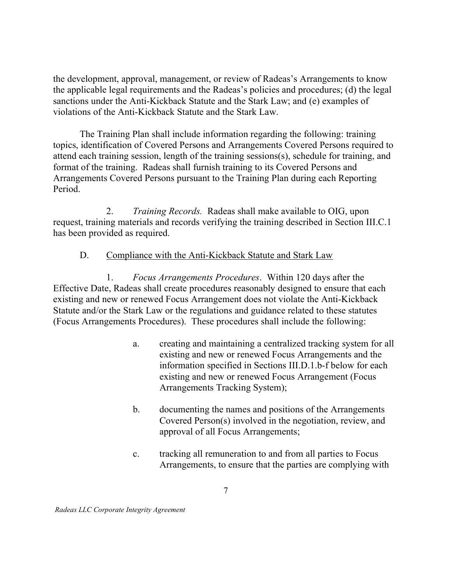the development, approval, management, or review of Radeas's Arrangements to know the applicable legal requirements and the Radeas's policies and procedures; (d) the legal sanctions under the Anti-Kickback Statute and the Stark Law; and (e) examples of violations of the Anti-Kickback Statute and the Stark Law.

 The Training Plan shall include information regarding the following: training topics, identification of Covered Persons and Arrangements Covered Persons required to attend each training session, length of the training sessions(s), schedule for training, and format of the training. Radeas shall furnish training to its Covered Persons and Arrangements Covered Persons pursuant to the Training Plan during each Reporting Period.

 $2^{1}$  request, training materials and records verifying the training described in Section III.C.1 has been provided as required. Training Records. Radeas shall make available to OIG, upon

#### D. Compliance with the Anti-Kickback Statute and Stark Law

1. Effective Date, Radeas shall create procedures reasonably designed to ensure that each existing and new or renewed Focus Arrangement does not violate the Anti-Kickback Statute and/or the Stark Law or the regulations and guidance related to these statutes (Focus Arrangements Procedures). These procedures shall include the following: Focus Arrangements Procedures. Within 120 days after the

- a. existing and new or renewed Focus Arrangements and the information specified in Sections III.D.1.b-f below for each existing and new or renewed Focus Arrangement (Focus Arrangements Tracking System); creating and maintaining a centralized tracking system for all
- b. documenting the names and positions of the Arrangements Covered Person(s) involved in the negotiation, review, and approval of all Focus Arrangements;
- $\mathbf{c}$ . Arrangements, to ensure that the parties are complying with tracking all remuneration to and from all parties to Focus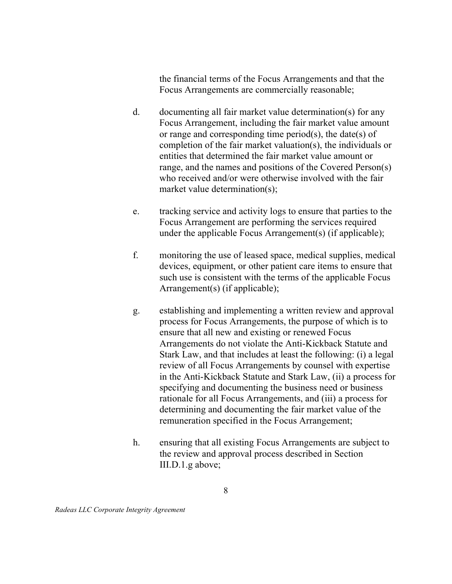the financial terms of the Focus Arrangements and that the Focus Arrangements are commercially reasonable;

- d. documenting all fair market value determination(s) for any Focus Arrangement, including the fair market value amount or range and corresponding time period(s), the date(s) of completion of the fair market valuation(s), the individuals or entities that determined the fair market value amount or range, and the names and positions of the Covered Person(s) who received and/or were otherwise involved with the fair market value determination(s);
- e. Focus Arrangement are performing the services required under the applicable Focus Arrangement(s) (if applicable); tracking service and activity logs to ensure that parties to the
- $f_{\cdot}$  devices, equipment, or other patient care items to ensure that such use is consistent with the terms of the applicable Focus Arrangement(s) (if applicable); monitoring the use of leased space, medical supplies, medical
- g. process for Focus Arrangements, the purpose of which is to ensure that all new and existing or renewed Focus Arrangements do not violate the Anti-Kickback Statute and Stark Law, and that includes at least the following: (i) a legal review of all Focus Arrangements by counsel with expertise in the Anti-Kickback Statute and Stark Law, (ii) a process for specifying and documenting the business need or business rationale for all Focus Arrangements, and (iii) a process for determining and documenting the fair market value of the remuneration specified in the Focus Arrangement; establishing and implementing a written review and approval
- h. ensuring that all existing Focus Arrangements are subject to the review and approval process described in Section III.D.1.g above;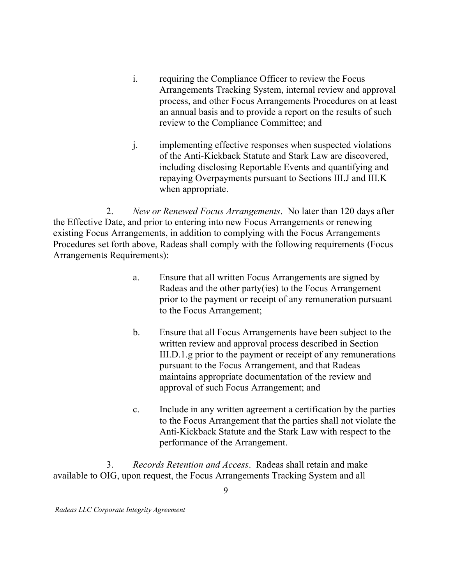- $\mathbf{i}$ . Arrangements Tracking System, internal review and approval process, and other Focus Arrangements Procedures on at least an annual basis and to provide a report on the results of such review to the Compliance Committee; and requiring the Compliance Officer to review the Focus
- $j.$  of the Anti-Kickback Statute and Stark Law are discovered, including disclosing Reportable Events and quantifying and repaying Overpayments pursuant to Sections III.J and III.K when appropriate. implementing effective responses when suspected violations

 $2.$  the Effective Date, and prior to entering into new Focus Arrangements or renewing existing Focus Arrangements, in addition to complying with the Focus Arrangements Procedures set forth above, Radeas shall comply with the following requirements (Focus Arrangements Requirements): New or Renewed Focus Arrangements. No later than 120 days after

- $a<sub>1</sub>$  Radeas and the other party(ies) to the Focus Arrangement prior to the payment or receipt of any remuneration pursuant to the Focus Arrangement; Ensure that all written Focus Arrangements are signed by
- $\mathbf{b}$ . written review and approval process described in Section III.D.1.g prior to the payment or receipt of any remunerations pursuant to the Focus Arrangement, and that Radeas maintains appropriate documentation of the review and approval of such Focus Arrangement; and b. Ensure that all Focus Arrangements have been subject to the
- $\mathbf{c}$ . to the Focus Arrangement that the parties shall not violate the Anti-Kickback Statute and the Stark Law with respect to the performance of the Arrangement. Include in any written agreement a certification by the parties

3. Records Retention and Access. Radeas shall retain and make available to OIG, upon request, the Focus Arrangements Tracking System and all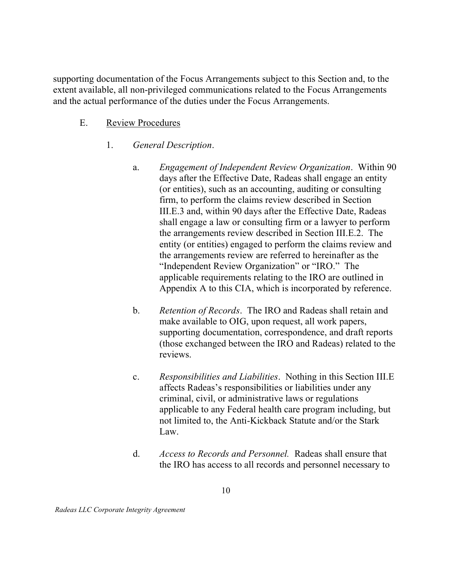supporting documentation of the Focus Arrangements subject to this Section and, to the extent available, all non-privileged communications related to the Focus Arrangements and the actual performance of the duties under the Focus Arrangements.

- E. Review Procedures
	- 1. General Description.
		- a. days after the Effective Date, Radeas shall engage an entity (or entities), such as an accounting, auditing or consulting firm, to perform the claims review described in Section III.E.3 and, within 90 days after the Effective Date, Radeas shall engage a law or consulting firm or a lawyer to perform the arrangements review described in Section III.E.2. The entity (or entities) engaged to perform the claims review and the arrangements review are referred to hereinafter as the "Independent Review Organization" or "IRO." The applicable requirements relating to the IRO are outlined in Appendix A to this CIA, which is incorporated by reference. Engagement of Independent Review Organization. Within 90
		- b. make available to OIG, upon request, all work papers, supporting documentation, correspondence, and draft reports (those exchanged between the IRO and Radeas) related to the reviews. Retention of Records. The IRO and Radeas shall retain and
		- $\mathbf{c}$ . affects Radeas's responsibilities or liabilities under any criminal, civil, or administrative laws or regulations applicable to any Federal health care program including, but not limited to, the Anti-Kickback Statute and/or the Stark Law. Responsibilities and Liabilities. Nothing in this Section III.E
		- d. Access to Records and Personnel. Radeas shall ensure that the IRO has access to all records and personnel necessary to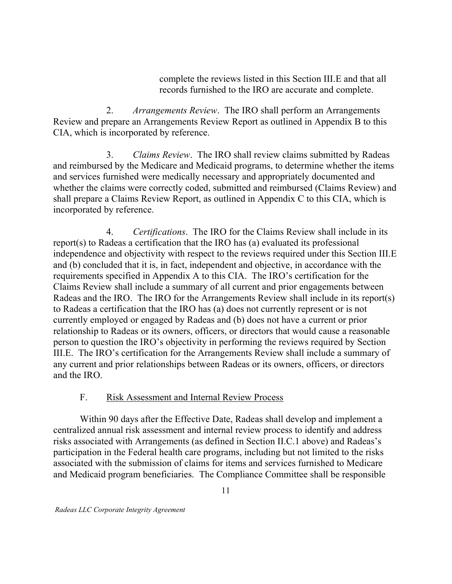complete the reviews listed in this Section III.E and that all records furnished to the IRO are accurate and complete.

2. Review and prepare an Arrangements Review Report as outlined in Appendix B to this CIA, which is incorporated by reference. Arrangements Review. The IRO shall perform an Arrangements

3. Claims Review. The IRO shall review claims submitted by Radeas and reimbursed by the Medicare and Medicaid programs, to determine whether the items and services furnished were medically necessary and appropriately documented and whether the claims were correctly coded, submitted and reimbursed (Claims Review) and shall prepare a Claims Review Report, as outlined in Appendix C to this CIA, which is incorporated by reference.

4. report(s) to Radeas a certification that the IRO has (a) evaluated its professional independence and objectivity with respect to the reviews required under this Section III.E and (b) concluded that it is, in fact, independent and objective, in accordance with the requirements specified in Appendix A to this CIA. The IRO's certification for the Claims Review shall include a summary of all current and prior engagements between Radeas and the IRO. The IRO for the Arrangements Review shall include in its report(s) to Radeas a certification that the IRO has (a) does not currently represent or is not currently employed or engaged by Radeas and (b) does not have a current or prior relationship to Radeas or its owners, officers, or directors that would cause a reasonable person to question the IRO's objectivity in performing the reviews required by Section III.E. The IRO's certification for the Arrangements Review shall include a summary of any current and prior relationships between Radeas or its owners, officers, or directors and the IRO. Certifications. The IRO for the Claims Review shall include in its

#### $F_{\cdot}$ Risk Assessment and Internal Review Process

 Within 90 days after the Effective Date, Radeas shall develop and implement a centralized annual risk assessment and internal review process to identify and address risks associated with Arrangements (as defined in Section II.C.1 above) and Radeas's participation in the Federal health care programs, including but not limited to the risks associated with the submission of claims for items and services furnished to Medicare and Medicaid program beneficiaries. The Compliance Committee shall be responsible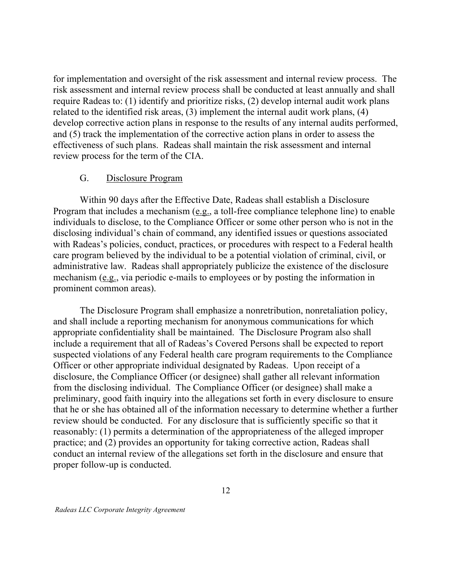for implementation and oversight of the risk assessment and internal review process. The risk assessment and internal review process shall be conducted at least annually and shall require Radeas to: (1) identify and prioritize risks, (2) develop internal audit work plans related to the identified risk areas, (3) implement the internal audit work plans, (4) develop corrective action plans in response to the results of any internal audits performed, and (5) track the implementation of the corrective action plans in order to assess the effectiveness of such plans. Radeas shall maintain the risk assessment and internal review process for the term of the CIA.

#### G. Disclosure Program

 Within 90 days after the Effective Date, Radeas shall establish a Disclosure Program that includes a mechanism (e.g., a toll-free compliance telephone line) to enable individuals to disclose, to the Compliance Officer or some other person who is not in the disclosing individual's chain of command, any identified issues or questions associated with Radeas's policies, conduct, practices, or procedures with respect to a Federal health care program believed by the individual to be a potential violation of criminal, civil, or administrative law. Radeas shall appropriately publicize the existence of the disclosure mechanism (e.g., via periodic e-mails to employees or by posting the information in prominent common areas).

 The Disclosure Program shall emphasize a nonretribution, nonretaliation policy, and shall include a reporting mechanism for anonymous communications for which appropriate confidentiality shall be maintained. The Disclosure Program also shall include a requirement that all of Radeas's Covered Persons shall be expected to report suspected violations of any Federal health care program requirements to the Compliance Officer or other appropriate individual designated by Radeas. Upon receipt of a disclosure, the Compliance Officer (or designee) shall gather all relevant information from the disclosing individual. The Compliance Officer (or designee) shall make a preliminary, good faith inquiry into the allegations set forth in every disclosure to ensure that he or she has obtained all of the information necessary to determine whether a further review should be conducted. For any disclosure that is sufficiently specific so that it reasonably: (1) permits a determination of the appropriateness of the alleged improper practice; and (2) provides an opportunity for taking corrective action, Radeas shall conduct an internal review of the allegations set forth in the disclosure and ensure that proper follow-up is conducted.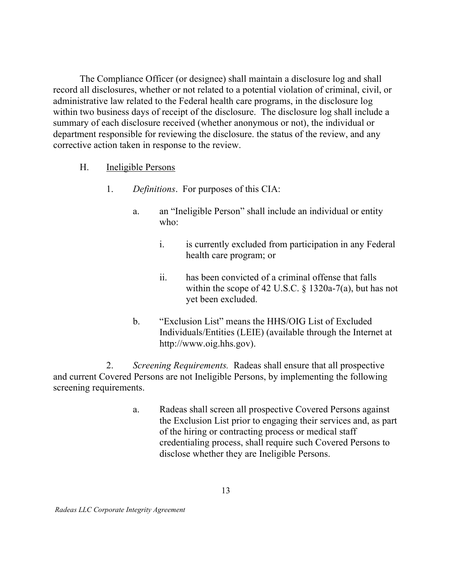The Compliance Officer (or designee) shall maintain a disclosure log and shall record all disclosures, whether or not related to a potential violation of criminal, civil, or administrative law related to the Federal health care programs, in the disclosure log within two business days of receipt of the disclosure. The disclosure log shall include a summary of each disclosure received (whether anonymous or not), the individual or department responsible for reviewing the disclosure. the status of the review, and any corrective action taken in response to the review.

- Η. Ineligible Persons
	- 1. Definitions. For purposes of this CIA:
		- $\mathbf{a}$ . who: an "Ineligible Person" shall include an individual or entity
			- $\mathbf{i}$ . health care program; or is currently excluded from participation in any Federal
			- $\dddot{\mathbf{i}}$ . within the scope of 42 U.S.C. § 1320a-7(a), but has not yet been excluded. has been convicted of a criminal offense that falls
		- $\mathbf{b}$ . Individuals/Entities (LEIE) (available through the Internet at <http://www.oig.hhs.gov>). b. "Exclusion List" means the HHS/OIG List of Excluded

 $2.$  and current Covered Persons are not Ineligible Persons, by implementing the following screening requirements. Screening Requirements. Radeas shall ensure that all prospective

> a. the Exclusion List prior to engaging their services and, as part of the hiring or contracting process or medical staff credentialing process, shall require such Covered Persons to disclose whether they are Ineligible Persons. Radeas shall screen all prospective Covered Persons against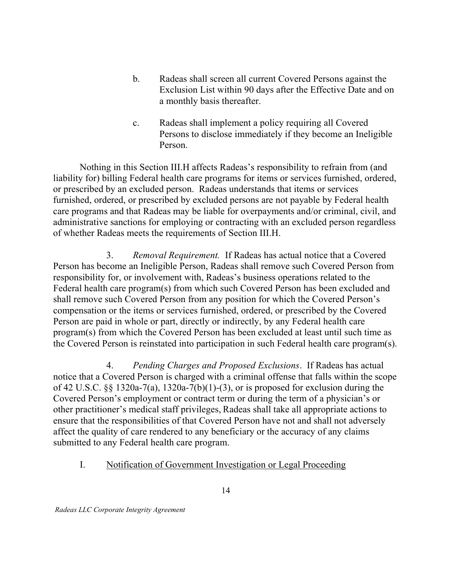- $\mathbf{b}$ . Exclusion List within 90 days after the Effective Date and on a monthly basis thereafter. Radeas shall screen all current Covered Persons against the
- $\mathbf{c}$ . Persons to disclose immediately if they become an Ineligible Radeas shall implement a policy requiring all Covered Person.

 Nothing in this Section III.H affects Radeas's responsibility to refrain from (and liability for) billing Federal health care programs for items or services furnished, ordered, or prescribed by an excluded person. Radeas understands that items or services furnished, ordered, or prescribed by excluded persons are not payable by Federal health care programs and that Radeas may be liable for overpayments and/or criminal, civil, and administrative sanctions for employing or contracting with an excluded person regardless of whether Radeas meets the requirements of Section III.H.

 $3.$  Person has become an Ineligible Person, Radeas shall remove such Covered Person from responsibility for, or involvement with, Radeas's business operations related to the Federal health care program(s) from which such Covered Person has been excluded and shall remove such Covered Person from any position for which the Covered Person's compensation or the items or services furnished, ordered, or prescribed by the Covered Person are paid in whole or part, directly or indirectly, by any Federal health care program(s) from which the Covered Person has been excluded at least until such time as the Covered Person is reinstated into participation in such Federal health care program(s). Removal Requirement. If Radeas has actual notice that a Covered

 notice that a Covered Person is charged with a criminal offense that falls within the scope of 42 U.S.C. §§ 1320a-7(a), 1320a-7(b)(1)-(3), or is proposed for exclusion during the Covered Person's employment or contract term or during the term of a physician's or other practitioner's medical staff privileges, Radeas shall take all appropriate actions to ensure that the responsibilities of that Covered Person have not and shall not adversely affect the quality of care rendered to any beneficiary or the accuracy of any claims submitted to any Federal health care program. 4. Pending Charges and Proposed Exclusions. If Radeas has actual

I. I. Notification of Government Investigation or Legal Proceeding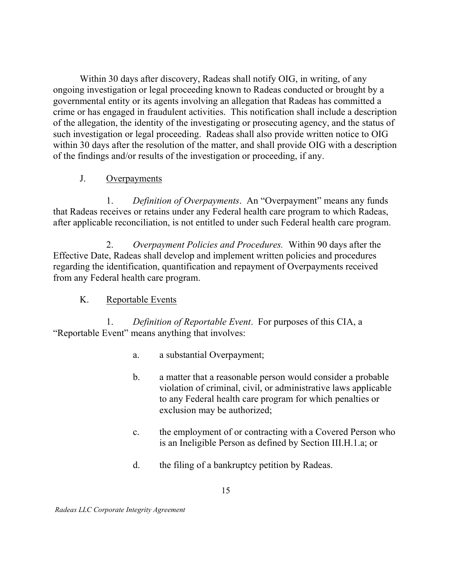Within 30 days after discovery, Radeas shall notify OIG, in writing, of any ongoing investigation or legal proceeding known to Radeas conducted or brought by a governmental entity or its agents involving an allegation that Radeas has committed a crime or has engaged in fraudulent activities. This notification shall include a description of the allegation, the identity of the investigating or prosecuting agency, and the status of such investigation or legal proceeding. Radeas shall also provide written notice to OIG within 30 days after the resolution of the matter, and shall provide OIG with a description of the findings and/or results of the investigation or proceeding, if any.

#### $J<sub>r</sub>$ **Overpayments**

 $1_{-}$  that Radeas receives or retains under any Federal health care program to which Radeas, after applicable reconciliation, is not entitled to under such Federal health care program. Definition of Overpayments. An "Overpayment" means any funds

2. Overpayment Policies and Procedures. Within 90 days after the Effective Date, Radeas shall develop and implement written policies and procedures regarding the identification, quantification and repayment of Overpayments received from any Federal health care program.

#### K. Reportable Events

1. "Reportable Event" means anything that involves: Definition of Reportable Event. For purposes of this CIA, a

- $a_{-}$ a. a substantial Overpayment;
- $\mathbf{b}$ . violation of criminal, civil, or administrative laws applicable to any Federal health care program for which penalties or exclusion may be authorized; a matter that a reasonable person would consider a probable
- c. the employment of or contracting with a Covered Person who is an Ineligible Person as defined by Section III.H.1.a; or
- $d_{\cdot}$ the filing of a bankruptcy petition by Radeas.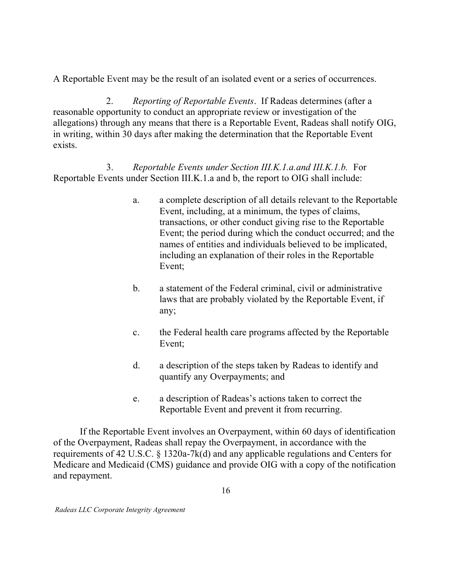A Reportable Event may be the result of an isolated event or a series of occurrences.

2. reasonable opportunity to conduct an appropriate review or investigation of the allegations) through any means that there is a Reportable Event, Radeas shall notify OIG, in writing, within 30 days after making the determination that the Reportable Event exists. 2. Reporting of Reportable Events. If Radeas determines (after a

3. Reportable Events under Section III.K.1.a and b, the report to OIG shall include: 3. Reportable Events under Section III.K.1.a.and III.K.1.b. For

- $a<sub>z</sub>$  Event, including, at a minimum, the types of claims, transactions, or other conduct giving rise to the Reportable Event; the period during which the conduct occurred; and the names of entities and individuals believed to be implicated, including an explanation of their roles in the Reportable a. a complete description of all details relevant to the Reportable Event;
- $<sub>b</sub>$ .</sub> laws that are probably violated by the Reportable Event, if a statement of the Federal criminal, civil or administrative any;
- $\mathbf{c}$ . the Federal health care programs affected by the Reportable Event;
- $d_{\cdot}$  quantify any Overpayments; and a description of the steps taken by Radeas to identify and
- $e<sub>1</sub>$  Reportable Event and prevent it from recurring. a description of Radeas's actions taken to correct the

 If the Reportable Event involves an Overpayment, within 60 days of identification of the Overpayment, Radeas shall repay the Overpayment, in accordance with the requirements of 42 U.S.C. § 1320a-7k(d) and any applicable regulations and Centers for Medicare and Medicaid (CMS) guidance and provide OIG with a copy of the notification and repayment.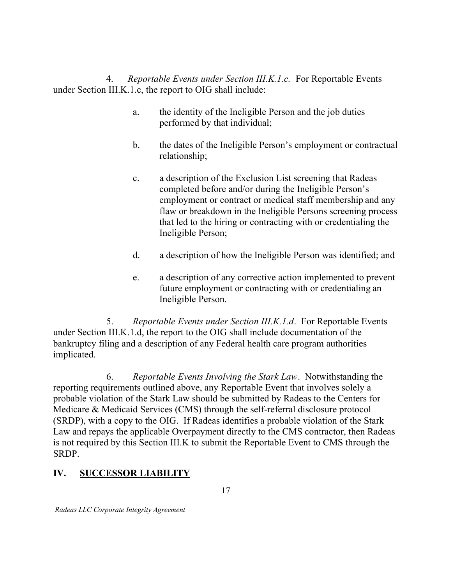under Section III.K.1.c, the report to OIG shall include: 4. Reportable Events under Section III.K.1.c. For Reportable Events

- a. performed by that individual; the identity of the Ineligible Person and the job duties
- $\mathbf{b}$ . the dates of the Ineligible Person's employment or contractual relationship;
- $\mathbf{c}$ . completed before and/or during the Ineligible Person's employment or contract or medical staff membership and any flaw or breakdown in the Ineligible Persons screening process that led to the hiring or contracting with or credentialing the Ineligible Person; a description of the Exclusion List screening that Radeas
- $d_{\cdot}$ a description of how the Ineligible Person was identified; and
- e. future employment or contracting with or credentialing an Ineligible Person. a description of any corrective action implemented to prevent

5. under Section III.K.1.d, the report to the OIG shall include documentation of the bankruptcy filing and a description of any Federal health care program authorities 5. Reportable Events under Section III.K.1.d. For Reportable Events implicated.

6. reporting requirements outlined above, any Reportable Event that involves solely a probable violation of the Stark Law should be submitted by Radeas to the Centers for Medicare & Medicaid Services (CMS) through the self-referral disclosure protocol (SRDP), with a copy to the OIG. If Radeas identifies a probable violation of the Stark Law and repays the applicable Overpayment directly to the CMS contractor, then Radeas is not required by this Section III.K to submit the Reportable Event to CMS through the Reportable Events Involving the Stark Law. Notwithstanding the SRDP.

# IV. SUCCESSOR LIABILITY

17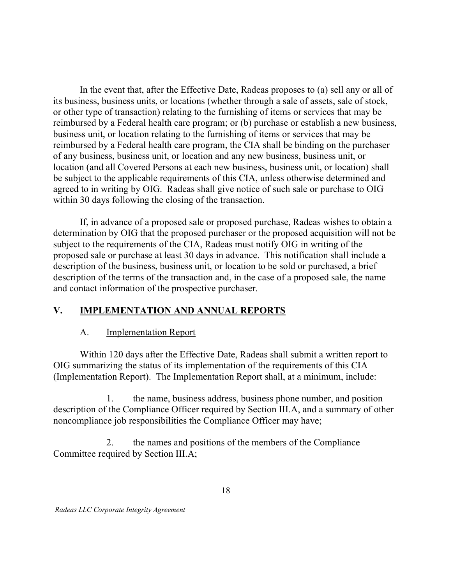In the event that, after the Effective Date, Radeas proposes to (a) sell any or all of its business, business units, or locations (whether through a sale of assets, sale of stock, or other type of transaction) relating to the furnishing of items or services that may be reimbursed by a Federal health care program; or (b) purchase or establish a new business, business unit, or location relating to the furnishing of items or services that may be of any business, business unit, or location and any new business, business unit, or location (and all Covered Persons at each new business, business unit, or location) shall be subject to the applicable requirements of this CIA, unless otherwise determined and agreed to in writing by OIG. Radeas shall give notice of such sale or purchase to OIG within 30 days following the closing of the transaction. reimbursed by a Federal health care program, the CIA shall be binding on the purchaser

 If, in advance of a proposed sale or proposed purchase, Radeas wishes to obtain a determination by OIG that the proposed purchaser or the proposed acquisition will not be subject to the requirements of the CIA, Radeas must notify OIG in writing of the proposed sale or purchase at least 30 days in advance. This notification shall include a description of the business, business unit, or location to be sold or purchased, a brief description of the terms of the transaction and, in the case of a proposed sale, the name and contact information of the prospective purchaser.

### V. IMPLEMENTATION AND ANNUAL REPORTS

#### A. **Implementation Report**

 Within 120 days after the Effective Date, Radeas shall submit a written report to OIG summarizing the status of its implementation of the requirements of this CIA (Implementation Report). The Implementation Report shall, at a minimum, include:

1. description of the Compliance Officer required by Section III.A, and a summary of other noncompliance job responsibilities the Compliance Officer may have; the name, business address, business phone number, and position

2. Committee required by Section III.A; 2. the names and positions of the members of the Compliance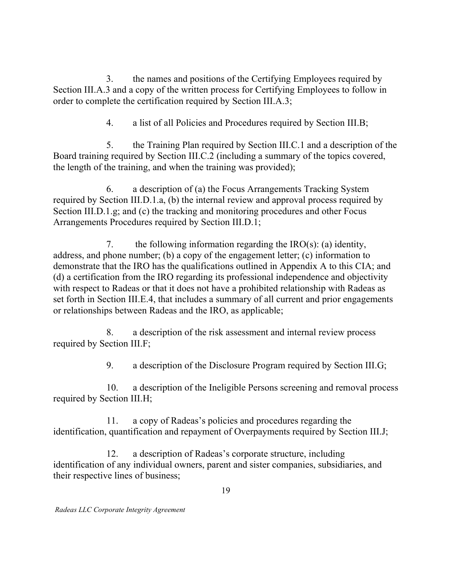$\mathfrak{Z}$ . Section III.A.3 and a copy of the written process for Certifying Employees to follow in order to complete the certification required by Section III.A.3; 3. the names and positions of the Certifying Employees required by

> $\overline{4}$ . a list of all Policies and Procedures required by Section III.B;

5. Board training required by Section III.C.2 (including a summary of the topics covered, the length of the training, and when the training was provided); 5. the Training Plan required by Section III.C.1 and a description of the

6. required by Section III.D.1.a, (b) the internal review and approval process required by Section III.D.1.g; and (c) the tracking and monitoring procedures and other Focus Arrangements Procedures required by Section III.D.1; a description of (a) the Focus Arrangements Tracking System

7. address, and phone number; (b) a copy of the engagement letter; (c) information to demonstrate that the IRO has the qualifications outlined in Appendix A to this CIA; and (d) a certification from the IRO regarding its professional independence and objectivity with respect to Radeas or that it does not have a prohibited relationship with Radeas as set forth in Section III.E.4, that includes a summary of all current and prior engagements or relationships between Radeas and the IRO, as applicable; the following information regarding the  $IRO(s)$ : (a) identity,

8. required by Section III.F; a description of the risk assessment and internal review process

> 9. 9. a description of the Disclosure Program required by Section III.G;

 $10<sub>1</sub>$  required by Section III.H; a description of the Ineligible Persons screening and removal process

 $11.$  identification, quantification and repayment of Overpayments required by Section III.J; a copy of Radeas's policies and procedures regarding the

12. identification of any individual owners, parent and sister companies, subsidiaries, and their respective lines of business; a description of Radeas's corporate structure, including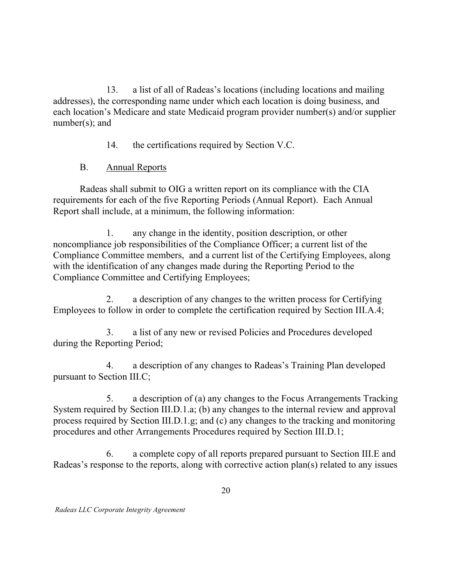13. addresses), the corresponding name under which each location is doing business, and each location's Medicare and state Medicaid program provider number(s) and/or supplier number(s); and a list of all of Radeas's locations (including locations and mailing

> $14.$ the certifications required by Section V.C.

#### **B.** Annual Reports

 Radeas shall submit to OIG a written report on its compliance with the CIA requirements for each of the five Reporting Periods (Annual Report). Each Annual Report shall include, at a minimum, the following information:

 noncompliance job responsibilities of the Compliance Officer; a current list of the Compliance Committee members, and a current list of the Certifying Employees, along with the identification of any changes made during the Reporting Period to the Compliance Committee and Certifying Employees; 1. any change in the identity, position description, or other

2. Employees to follow in order to complete the certification required by Section III.A.4; a description of any changes to the written process for Certifying

3. during the Reporting Period; a list of any new or revised Policies and Procedures developed

 $4.$  pursuant to Section III.C; a description of any changes to Radeas's Training Plan developed

5. System required by Section III.D.1.a; (b) any changes to the internal review and approval process required by Section III.D.1.g; and (c) any changes to the tracking and monitoring procedures and other Arrangements Procedures required by Section III.D.1; a description of (a) any changes to the Focus Arrangements Tracking

6. Radeas's response to the reports, along with corrective action plan(s) related to any issues 6. a complete copy of all reports prepared pursuant to Section III.E and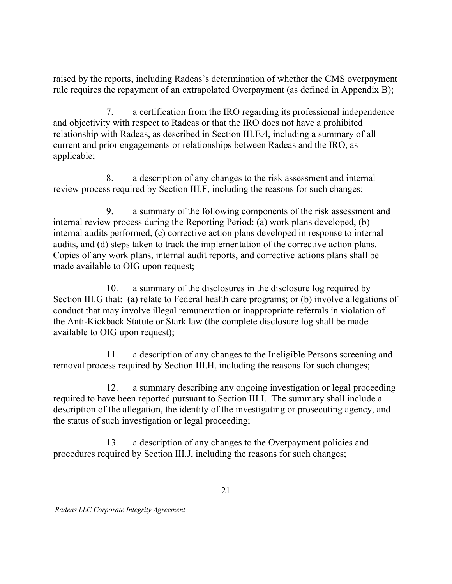raised by the reports, including Radeas's determination of whether the CMS overpayment rule requires the repayment of an extrapolated Overpayment (as defined in Appendix B);

7. and objectivity with respect to Radeas or that the IRO does not have a prohibited relationship with Radeas, as described in Section III.E.4, including a summary of all current and prior engagements or relationships between Radeas and the IRO, as 7. a certification from the IRO regarding its professional independence applicable;

8. review process required by Section III.F, including the reasons for such changes; a description of any changes to the risk assessment and internal

 internal review process during the Reporting Period: (a) work plans developed, (b) audits, and (d) steps taken to track the implementation of the corrective action plans. Copies of any work plans, internal audit reports, and corrective actions plans shall be made available to OIG upon request; 9. a summary of the following components of the risk assessment and internal audits performed, (c) corrective action plans developed in response to internal

10. Section III.G that: (a) relate to Federal health care programs; or (b) involve allegations of conduct that may involve illegal remuneration or inappropriate referrals in violation of the Anti-Kickback Statute or Stark law (the complete disclosure log shall be made available to OIG upon request); a summary of the disclosures in the disclosure log required by

 $11<sub>1</sub>$  removal process required by Section III.H, including the reasons for such changes; a description of any changes to the Ineligible Persons screening and

 $12<sub>1</sub>$  required to have been reported pursuant to Section III.I. The summary shall include a description of the allegation, the identity of the investigating or prosecuting agency, and the status of such investigation or legal proceeding; a summary describing any ongoing investigation or legal proceeding

13. procedures required by Section III.J, including the reasons for such changes; a description of any changes to the Overpayment policies and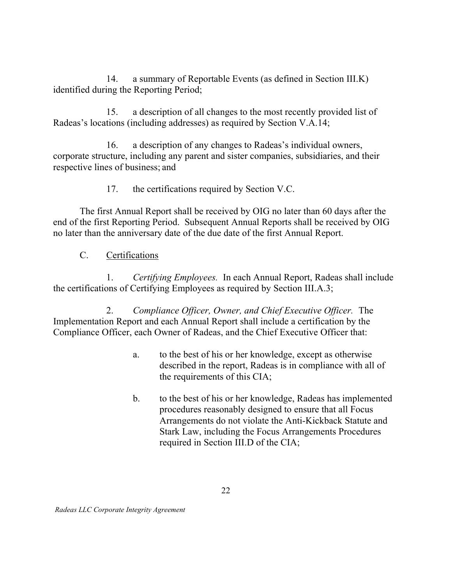14. identified during the Reporting Period; a summary of Reportable Events (as defined in Section III.K)

15. Radeas's locations (including addresses) as required by Section V.A.14; a description of all changes to the most recently provided list of

16. corporate structure, including any parent and sister companies, subsidiaries, and their respective lines of business; and a description of any changes to Radeas's individual owners,

> 17. the certifications required by Section V.C.

 The first Annual Report shall be received by OIG no later than 60 days after the end of the first Reporting Period. Subsequent Annual Reports shall be received by OIG no later than the anniversary date of the due date of the first Annual Report.

C. Certifications

1. Certifying Employees. In each Annual Report, Radeas shall include the certifications of Certifying Employees as required by Section III.A.3;

2. Compliance Officer, Owner, and Chief Executive Officer. The Implementation Report and each Annual Report shall include a certification by the Compliance Officer, each Owner of Radeas, and the Chief Executive Officer that:

- $a<sub>z</sub>$  described in the report, Radeas is in compliance with all of the requirements of this CIA; to the best of his or her knowledge, except as otherwise
- $\mathbf{b}$ . procedures reasonably designed to ensure that all Focus Arrangements do not violate the Anti-Kickback Statute and Stark Law, including the Focus Arrangements Procedures required in Section III.D of the CIA; b. to the best of his or her knowledge, Radeas has implemented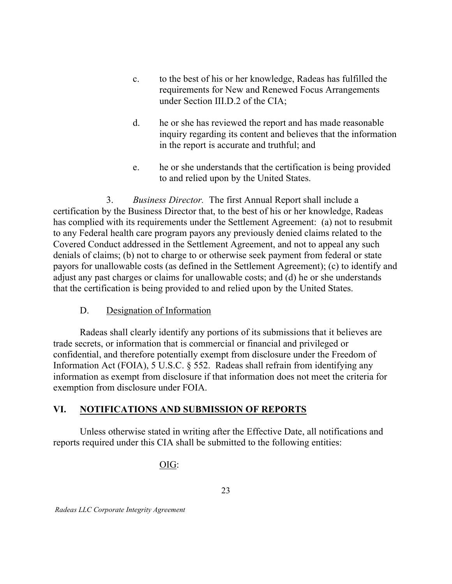- $c_{\cdot}$  requirements for New and Renewed Focus Arrangements under Section III.D.2 of the CIA; to the best of his or her knowledge, Radeas has fulfilled the
- $d_{\cdot}$  inquiry regarding its content and believes that the information in the report is accurate and truthful; and he or she has reviewed the report and has made reasonable
- e. to and relied upon by the United States. he or she understands that the certification is being provided

3. Business Director. The first Annual Report shall include a certification by the Business Director that, to the best of his or her knowledge, Radeas has complied with its requirements under the Settlement Agreement: (a) not to resubmit to any Federal health care program payors any previously denied claims related to the Covered Conduct addressed in the Settlement Agreement, and not to appeal any such denials of claims; (b) not to charge to or otherwise seek payment from federal or state payors for unallowable costs (as defined in the Settlement Agreement); (c) to identify and adjust any past charges or claims for unallowable costs; and (d) he or she understands that the certification is being provided to and relied upon by the United States.

#### D. Designation of Information

 Radeas shall clearly identify any portions of its submissions that it believes are trade secrets, or information that is commercial or financial and privileged or confidential, and therefore potentially exempt from disclosure under the Freedom of Information Act (FOIA), 5 U.S.C. § 552. Radeas shall refrain from identifying any information as exempt from disclosure if that information does not meet the criteria for exemption from disclosure under FOIA.

### VI. NOTIFICATIONS AND SUBMISSION OF REPORTS

 Unless otherwise stated in writing after the Effective Date, all notifications and reports required under this CIA shall be submitted to the following entities:

### OIG: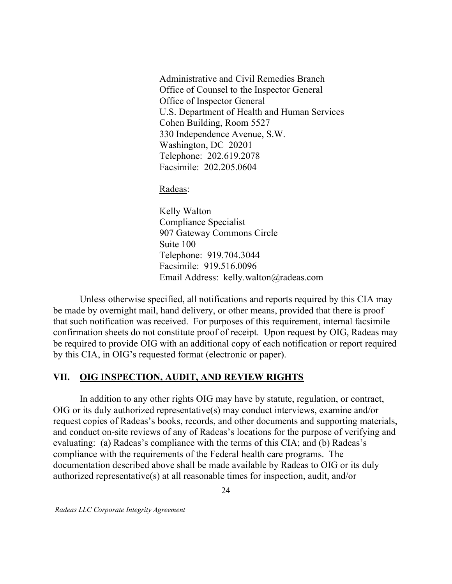Administrative and Civil Remedies Branch Office of Counsel to the Inspector General Office of Inspector General U.S. Department of Health and Human Services Cohen Building, Room 5527 330 Independence Avenue, S.W. Washington, DC 20201 Telephone: 202.619.2078 Facsimile: 202.205.0604

Radeas:

 Kelly Walton 907 Gateway Commons Circle Suite 100 Telephone: 919.704.3044 Facsimile: 919.516.0096 Email Address: [kelly.walton@radeas.com](mailto:kelly.walton@radeas.com) Compliance Specialist

 Unless otherwise specified, all notifications and reports required by this CIA may be made by overnight mail, hand delivery, or other means, provided that there is proof that such notification was received. For purposes of this requirement, internal facsimile confirmation sheets do not constitute proof of receipt. Upon request by OIG, Radeas may be required to provide OIG with an additional copy of each notification or report required by this CIA, in OIG's requested format (electronic or paper).

#### VII. OIG INSPECTION, AUDIT, AND REVIEW RIGHTS

 In addition to any other rights OIG may have by statute, regulation, or contract, OIG or its duly authorized representative(s) may conduct interviews, examine and/or request copies of Radeas's books, records, and other documents and supporting materials, and conduct on-site reviews of any of Radeas's locations for the purpose of verifying and evaluating: (a) Radeas's compliance with the terms of this CIA; and (b) Radeas's compliance with the requirements of the Federal health care programs. The documentation described above shall be made available by Radeas to OIG or its duly authorized representative(s) at all reasonable times for inspection, audit, and/or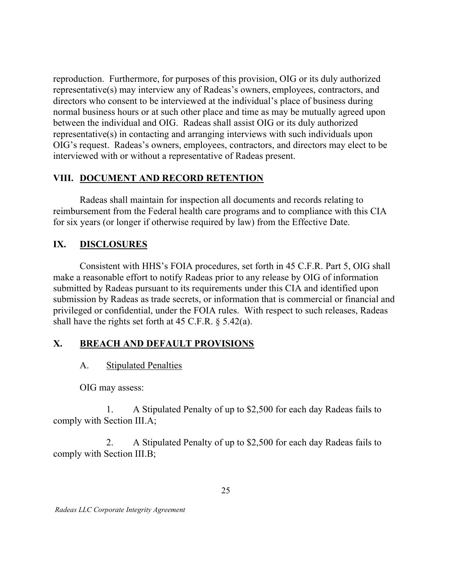reproduction. Furthermore, for purposes of this provision, OIG or its duly authorized representative(s) may interview any of Radeas's owners, employees, contractors, and directors who consent to be interviewed at the individual's place of business during normal business hours or at such other place and time as may be mutually agreed upon between the individual and OIG. Radeas shall assist OIG or its duly authorized representative(s) in contacting and arranging interviews with such individuals upon OIG's request. Radeas's owners, employees, contractors, and directors may elect to be interviewed with or without a representative of Radeas present.

### VIII. DOCUMENT AND RECORD RETENTION

 Radeas shall maintain for inspection all documents and records relating to reimbursement from the Federal health care programs and to compliance with this CIA for six years (or longer if otherwise required by law) from the Effective Date.

#### IX. DISCLOSURES

 Consistent with HHS's FOIA procedures, set forth in 45 C.F.R. Part 5, OIG shall make a reasonable effort to notify Radeas prior to any release by OIG of information submitted by Radeas pursuant to its requirements under this CIA and identified upon submission by Radeas as trade secrets, or information that is commercial or financial and privileged or confidential, under the FOIA rules. With respect to such releases, Radeas shall have the rights set forth at 45 C.F.R. § 5.42(a).

### X. BREACH AND DEFAULT PROVISIONS

#### $A<sub>1</sub>$ **Stipulated Penalties**

OIG may assess:

1. comply with Section III.A; 1. A Stipulated Penalty of up to \$2,500 for each day Radeas fails to

2. comply with Section III.B; 2. A Stipulated Penalty of up to \$2,500 for each day Radeas fails to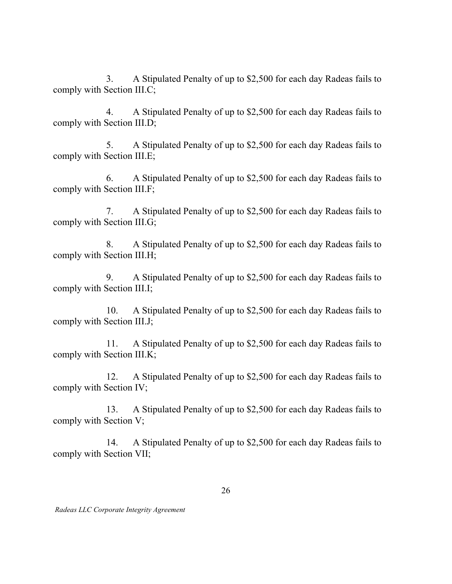$\mathfrak{Z}$ . comply with Section III.C; 3. A Stipulated Penalty of up to \$2,500 for each day Radeas fails to

 comply with Section III.D; 4. A Stipulated Penalty of up to \$2,500 for each day Radeas fails to

 comply with Section III.E; 5. A Stipulated Penalty of up to \$2,500 for each day Radeas fails to

 comply with Section III.F; 6. A Stipulated Penalty of up to \$2,500 for each day Radeas fails to

 comply with Section III.G; 7. A Stipulated Penalty of up to \$2,500 for each day Radeas fails to

 comply with Section III.H; 8. A Stipulated Penalty of up to \$2,500 for each day Radeas fails to

 comply with Section III.I; 9. A Stipulated Penalty of up to \$2,500 for each day Radeas fails to

 $10<sub>1</sub>$  comply with Section III.J; A Stipulated Penalty of up to \$2,500 for each day Radeas fails to

11. comply with Section III.K; A Stipulated Penalty of up to \$2,500 for each day Radeas fails to

 $12<sub>1</sub>$  comply with Section IV; A Stipulated Penalty of up to \$2,500 for each day Radeas fails to

13. comply with Section V; A Stipulated Penalty of up to \$2,500 for each day Radeas fails to

14. comply with Section VII; 14. A Stipulated Penalty of up to \$2,500 for each day Radeas fails to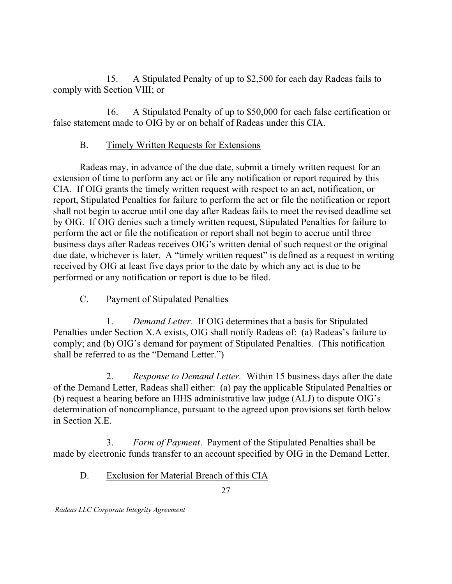$15.$  comply with Section VIII; or A Stipulated Penalty of up to \$2,500 for each day Radeas fails to

16. false statement made to OIG by or on behalf of Radeas under this CIA. A Stipulated Penalty of up to \$50,000 for each false certification or

#### **B.** Timely Written Requests for Extensions

 Radeas may, in advance of the due date, submit a timely written request for an extension of time to perform any act or file any notification or report required by this CIA. If OIG grants the timely written request with respect to an act, notification, or report, Stipulated Penalties for failure to perform the act or file the notification or report shall not begin to accrue until one day after Radeas fails to meet the revised deadline set by OIG. If OIG denies such a timely written request, Stipulated Penalties for failure to perform the act or file the notification or report shall not begin to accrue until three business days after Radeas receives OIG's written denial of such request or the original due date, whichever is later. A "timely written request" is defined as a request in writing received by OIG at least five days prior to the date by which any act is due to be performed or any notification or report is due to be filed.

#### $C_{\cdot}$ Payment of Stipulated Penalties

 Penalties under Section X.A exists, OIG shall notify Radeas of: (a) Radeas's failure to comply; and (b) OIG's demand for payment of Stipulated Penalties. (This notification shall be referred to as the "Demand Letter.") 1. Demand Letter. If OIG determines that a basis for Stipulated

 $2<sub>1</sub>$  of the Demand Letter, Radeas shall either: (a) pay the applicable Stipulated Penalties or (b) request a hearing before an HHS administrative law judge (ALJ) to dispute OIG's determination of noncompliance, pursuant to the agreed upon provisions set forth below in Section X.E. Response to Demand Letter. Within 15 business days after the date

 $3.$  made by electronic funds transfer to an account specified by OIG in the Demand Letter. Form of Payment. Payment of the Stipulated Penalties shall be

D. Exclusion for Material Breach of this CIA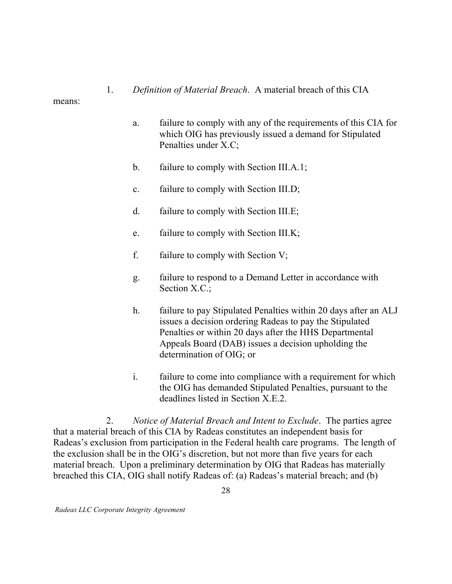Definition of Material Breach. A material breach of this CIA

means:

1.

- $a<sub>1</sub>$  which OIG has previously issued a demand for Stipulated Penalties under X.C; failure to comply with any of the requirements of this CIA for
- $\mathbf{b}$ . failure to comply with Section III.A.1;
- $\mathbf{c}$ . failure to comply with Section III.D;
- $d_{\cdot}$ failure to comply with Section III.E;
- e. failure to comply with Section III.K;
- $f_{\cdot}$ failure to comply with Section  $V$ ;
- g. Section X.C.; failure to respond to a Demand Letter in accordance with
- $h_{\cdot}$  issues a decision ordering Radeas to pay the Stipulated Penalties or within 20 days after the HHS Departmental Appeals Board (DAB) issues a decision upholding the determination of OIG; or failure to pay Stipulated Penalties within 20 days after an ALJ
- $\mathbf{i}$ . the OIG has demanded Stipulated Penalties, pursuant to the deadlines listed in Section X.E.2. failure to come into compliance with a requirement for which

2. that a material breach of this CIA by Radeas constitutes an independent basis for Radeas's exclusion from participation in the Federal health care programs. The length of the exclusion shall be in the OIG's discretion, but not more than five years for each material breach. Upon a preliminary determination by OIG that Radeas has materially breached this CIA, OIG shall notify Radeas of: (a) Radeas's material breach; and (b) Notice of Material Breach and Intent to Exclude. The parties agree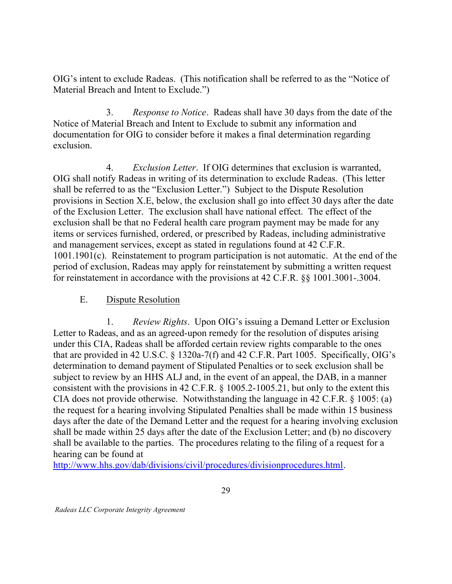OIG's intent to exclude Radeas. (This notification shall be referred to as the "Notice of Material Breach and Intent to Exclude.")

3. Notice of Material Breach and Intent to Exclude to submit any information and documentation for OIG to consider before it makes a final determination regarding *Response to Notice.* Radeas shall have 30 days from the date of the exclusion.

 $\overline{4}$ . OIG shall notify Radeas in writing of its determination to exclude Radeas. (This letter shall be referred to as the "Exclusion Letter.") Subject to the Dispute Resolution provisions in Section X.E, below, the exclusion shall go into effect 30 days after the date of the Exclusion Letter. The exclusion shall have national effect. The effect of the exclusion shall be that no Federal health care program payment may be made for any items or services furnished, ordered, or prescribed by Radeas, including administrative and management services, except as stated in regulations found at 42 C.F.R. 1001.1901(c). Reinstatement to program participation is not automatic. At the end of the period of exclusion, Radeas may apply for reinstatement by submitting a written request for reinstatement in accordance with the provisions at 42 C.F.R. §§ 1001.3001-.3004. Exclusion Letter. If OIG determines that exclusion is warranted,

#### E. Dispute Resolution

1. Letter to Radeas, and as an agreed-upon remedy for the resolution of disputes arising under this CIA, Radeas shall be afforded certain review rights comparable to the ones that are provided in 42 U.S.C. § 1320a-7(f) and 42 C.F.R. Part 1005. Specifically, OIG's determination to demand payment of Stipulated Penalties or to seek exclusion shall be subject to review by an HHS ALJ and, in the event of an appeal, the DAB, in a manner consistent with the provisions in 42 C.F.R. § [1005.2-1005.21,](https://1005.2-1005.21) but only to the extent this CIA does not provide otherwise. Notwithstanding the language in 42 C.F.R. § 1005: (a) the request for a hearing involving Stipulated Penalties shall be made within 15 business days after the date of the Demand Letter and the request for a hearing involving exclusion shall be made within 25 days after the date of the Exclusion Letter; and (b) no discovery shall be available to the parties. The procedures relating to the filing of a request for a hearing can be found at *Review Rights.* Upon OIG's issuing a Demand Letter or Exclusion

<http://www.hhs.gov/dab/divisions/civil/procedures/divisionprocedures.html>.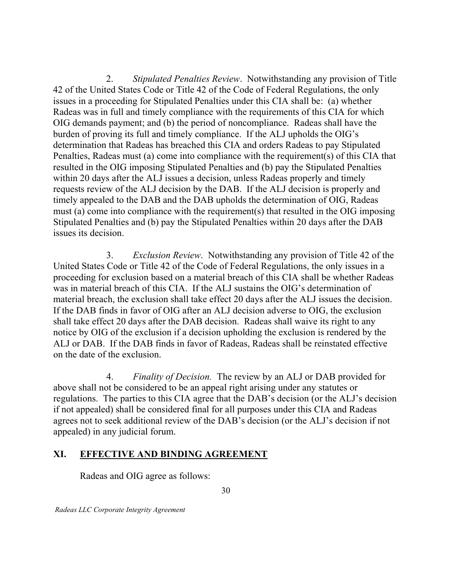$2.$  42 of the United States Code or Title 42 of the Code of Federal Regulations, the only issues in a proceeding for Stipulated Penalties under this CIA shall be: (a) whether Radeas was in full and timely compliance with the requirements of this CIA for which OIG demands payment; and (b) the period of noncompliance. Radeas shall have the burden of proving its full and timely compliance. If the ALJ upholds the OIG's determination that Radeas has breached this CIA and orders Radeas to pay Stipulated Penalties, Radeas must (a) come into compliance with the requirement(s) of this CIA that resulted in the OIG imposing Stipulated Penalties and (b) pay the Stipulated Penalties within 20 days after the ALJ issues a decision, unless Radeas properly and timely requests review of the ALJ decision by the DAB. If the ALJ decision is properly and timely appealed to the DAB and the DAB upholds the determination of OIG, Radeas must (a) come into compliance with the requirement(s) that resulted in the OIG imposing Stipulated Penalties and (b) pay the Stipulated Penalties within 20 days after the DAB issues its decision. Stipulated Penalties Review. Notwithstanding any provision of Title

3. United States Code or Title 42 of the Code of Federal Regulations, the only issues in a proceeding for exclusion based on a material breach of this CIA shall be whether Radeas was in material breach of this CIA. If the ALJ sustains the OIG's determination of material breach, the exclusion shall take effect 20 days after the ALJ issues the decision. If the DAB finds in favor of OIG after an ALJ decision adverse to OIG, the exclusion shall take effect 20 days after the DAB decision. Radeas shall waive its right to any notice by OIG of the exclusion if a decision upholding the exclusion is rendered by the ALJ or DAB. If the DAB finds in favor of Radeas, Radeas shall be reinstated effective on the date of the exclusion. Exclusion Review. Notwithstanding any provision of Title 42 of the

 above shall not be considered to be an appeal right arising under any statutes or regulations. The parties to this CIA agree that the DAB's decision (or the ALJ's decision if not appealed) shall be considered final for all purposes under this CIA and Radeas agrees not to seek additional review of the DAB's decision (or the ALJ's decision if not appealed) in any judicial forum. 4. Finality of Decision. The review by an ALJ or DAB provided for

### XI. EFFECTIVE AND BINDING AGREEMENT

Radeas and OIG agree as follows: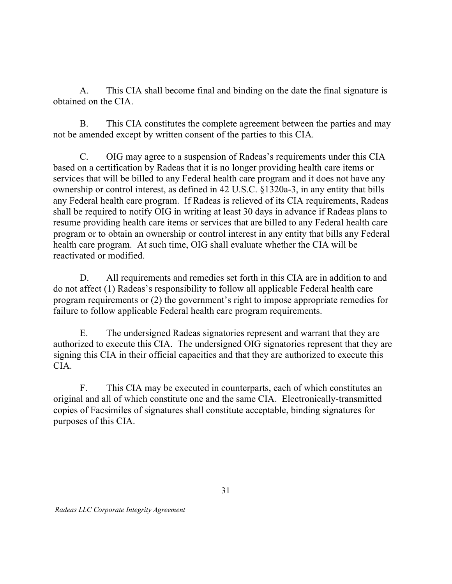$A_{\cdot}$  obtained on the CIA. This CIA shall become final and binding on the date the final signature is

 $\mathbf{B}$  not be amended except by written consent of the parties to this CIA. This CIA constitutes the complete agreement between the parties and may

 $C_{\cdot}$  based on a certification by Radeas that it is no longer providing health care items or services that will be billed to any Federal health care program and it does not have any ownership or control interest, as defined in 42 U.S.C. §1320a-3, in any entity that bills any Federal health care program. If Radeas is relieved of its CIA requirements, Radeas shall be required to notify OIG in writing at least 30 days in advance if Radeas plans to resume providing health care items or services that are billed to any Federal health care program or to obtain an ownership or control interest in any entity that bills any Federal health care program. At such time, OIG shall evaluate whether the CIA will be reactivated or modified. C. OIG may agree to a suspension of Radeas's requirements under this CIA

D. do not affect (1) Radeas's responsibility to follow all applicable Federal health care program requirements or (2) the government's right to impose appropriate remedies for failure to follow applicable Federal health care program requirements. All requirements and remedies set forth in this CIA are in addition to and

E. authorized to execute this CIA. The undersigned OIG signatories represent that they are signing this CIA in their official capacities and that they are authorized to execute this The undersigned Radeas signatories represent and warrant that they are CIA.

 $F_{\perp}$  original and all of which constitute one and the same CIA. Electronically-transmitted copies of Facsimiles of signatures shall constitute acceptable, binding signatures for purposes of this CIA. This CIA may be executed in counterparts, each of which constitutes an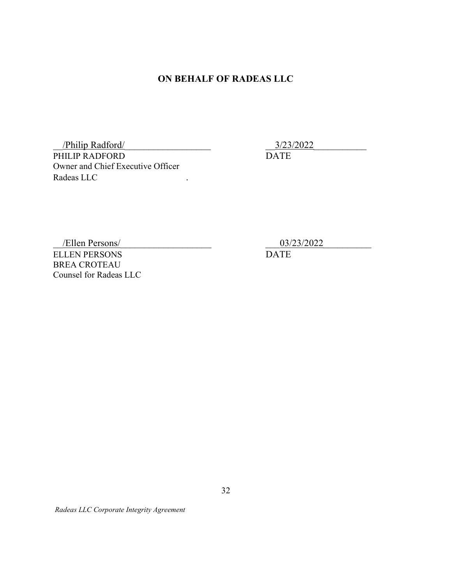### ON BEHALF OF RADEAS LLC

 PHILIP RADFORD Owner and Chief Executive Officer Radeas LLC . /Philip Radford/

\_\_3/23/2022\_\_\_\_\_\_\_\_\_\_\_

DATE

 ELLEN PERSONS BREA CROTEAU Counsel for Radeas LLC /Ellen Persons/

03/23/2022

DATE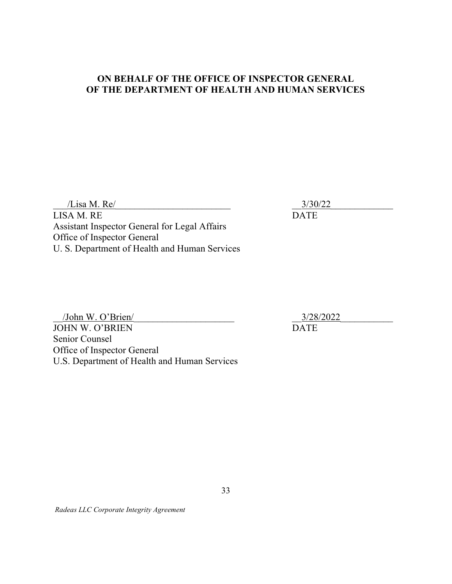### ON BEHALF OF THE OFFICE OF INSPECTOR GENERAL OF THE DEPARTMENT OF HEALTH AND HUMAN SERVICES

 $\frac{1}{3/30/22}$ LISA M. RE DATE Assistant Inspector General for Legal Affairs Office of Inspector General U. S. Department of Health and Human Services

/John W. O'Brien/ JOHN W. O'BRIEN DATE Senior Counsel Office of Inspector General U.S. Department of Health and Human Services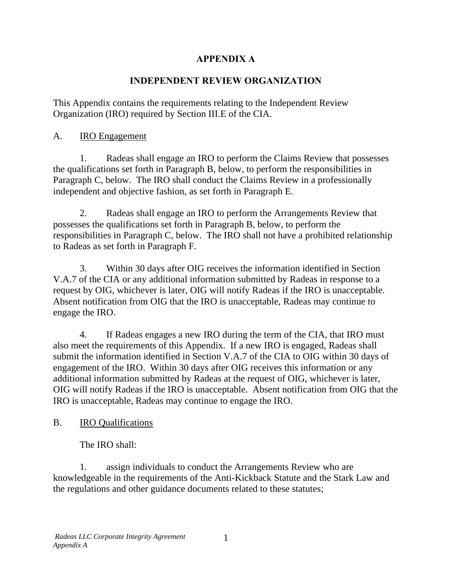# **APPENDIX A**

### **INDEPENDENT REVIEW ORGANIZATION**

Organization (IRO) required by Section III.E of the CIA.<br>A. IRO Engagement This Appendix contains the requirements relating to the Independent Review

1. Radeas shall engage an IRO to perform the Claims Review that possesses the qualifications set forth in Paragraph B, below, to perform the responsibilities in Paragraph C, below. The IRO shall conduct the Claims Review in a professionally independent and objective fashion, as set forth in Paragraph E.

2. Radeas shall engage an IRO to perform the Arrangements Review that possesses the qualifications set forth in Paragraph B, below, to perform the responsibilities in Paragraph C, below. The IRO shall not have a prohibited relationship to Radeas as set forth in Paragraph F.

3. Within 30 days after OIG receives the information identified in Section V.A.7 of the CIA or any additional information submitted by Radeas in response to a request by OIG, whichever is later, OIG will notify Radeas if the IRO is unacceptable. Absent notification from OIG that the IRO is unacceptable, Radeas may continue to engage the IRO.

4. If Radeas engages a new IRO during the term of the CIA, that IRO must also meet the requirements of this Appendix. If a new IRO is engaged, Radeas shall submit the information identified in Section V.A.7 of the CIA to OIG within 30 days of engagement of the IRO. Within 30 days after OIG receives this information or any additional information submitted by Radeas at the request of OIG, whichever is later, OIG will notify Radeas if the IRO is unacceptable. Absent notification from OIG that the IRO is unacceptable, Radeas may continue to engage the IRO.

# B. IRO Qualifications

The IRO shall:

1. assign individuals to conduct the Arrangements Review who are knowledgeable in the requirements of the Anti-Kickback Statute and the Stark Law and the regulations and other guidance documents related to these statutes;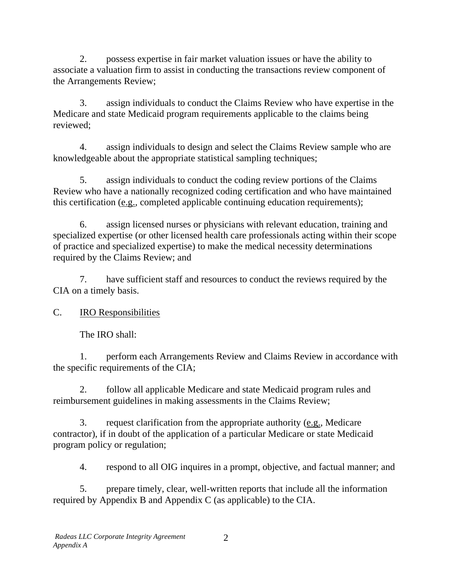2. possess expertise in fair market valuation issues or have the ability to associate a valuation firm to assist in conducting the transactions review component of the Arrangements Review;

3. assign individuals to conduct the Claims Review who have expertise in the Medicare and state Medicaid program requirements applicable to the claims being reviewed;

4. assign individuals to design and select the Claims Review sample who are knowledgeable about the appropriate statistical sampling techniques;

5. assign individuals to conduct the coding review portions of the Claims Review who have a nationally recognized coding certification and who have maintained this certification (e.g., completed applicable continuing education requirements);

6. assign licensed nurses or physicians with relevant education, training and specialized expertise (or other licensed health care professionals acting within their scope of practice and specialized expertise) to make the medical necessity determinations required by the Claims Review; and

7. have sufficient staff and resources to conduct the reviews required by the CIA on a timely basis.

C. IRO Responsibilities

The IRO shall:

1. perform each Arrangements Review and Claims Review in accordance with the specific requirements of the CIA;

2. follow all applicable Medicare and state Medicaid program rules and reimbursement guidelines in making assessments in the Claims Review;

3. request clarification from the appropriate authority (e.g., Medicare contractor), if in doubt of the application of a particular Medicare or state Medicaid program policy or regulation;

4. respond to all OIG inquires in a prompt, objective, and factual manner; and

5. prepare timely, clear, well-written reports that include all the information required by Appendix B and Appendix C (as applicable) to the CIA.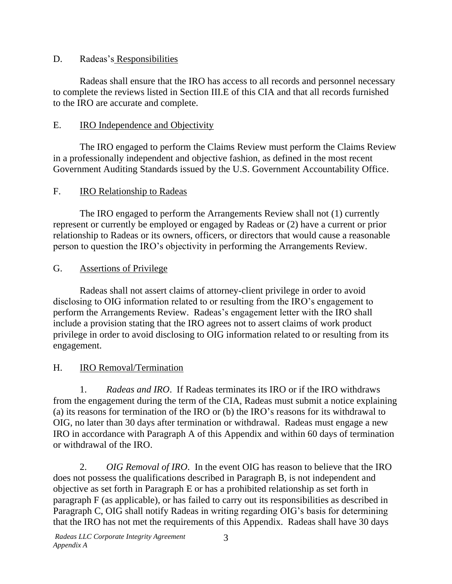### D. Radeas's Responsibilities

Radeas shall ensure that the IRO has access to all records and personnel necessary to complete the reviews listed in Section III.E of this CIA and that all records furnished to the IRO are accurate and complete.

# E. **IRO** Independence and Objectivity

The IRO engaged to perform the Claims Review must perform the Claims Review in a professionally independent and objective fashion, as defined in the most recent Government Auditing Standards issued by the U.S. Government Accountability Office.

# F. **IRO Relationship to Radeas**

The IRO engaged to perform the Arrangements Review shall not (1) currently represent or currently be employed or engaged by Radeas or (2) have a current or prior relationship to Radeas or its owners, officers, or directors that would cause a reasonable person to question the IRO's objectivity in performing the Arrangements Review.

# G. Assertions of Privilege

Radeas shall not assert claims of attorney-client privilege in order to avoid disclosing to OIG information related to or resulting from the IRO's engagement to perform the Arrangements Review. Radeas's engagement letter with the IRO shall include a provision stating that the IRO agrees not to assert claims of work product privilege in order to avoid disclosing to OIG information related to or resulting from its engagement.

# H. IRO Removal/Termination

1. *Radeas and IRO*. If Radeas terminates its IRO or if the IRO withdraws from the engagement during the term of the CIA, Radeas must submit a notice explaining (a) its reasons for termination of the IRO or (b) the IRO's reasons for its withdrawal to OIG, no later than 30 days after termination or withdrawal. Radeas must engage a new IRO in accordance with Paragraph A of this Appendix and within 60 days of termination or withdrawal of the IRO.

 2. *OIG Removal of IRO*. In the event OIG has reason to believe that the IRO does not possess the qualifications described in Paragraph B, is not independent and objective as set forth in Paragraph E or has a prohibited relationship as set forth in paragraph F (as applicable), or has failed to carry out its responsibilities as described in Paragraph C, OIG shall notify Radeas in writing regarding OIG's basis for determining that the IRO has not met the requirements of this Appendix. Radeas shall have 30 days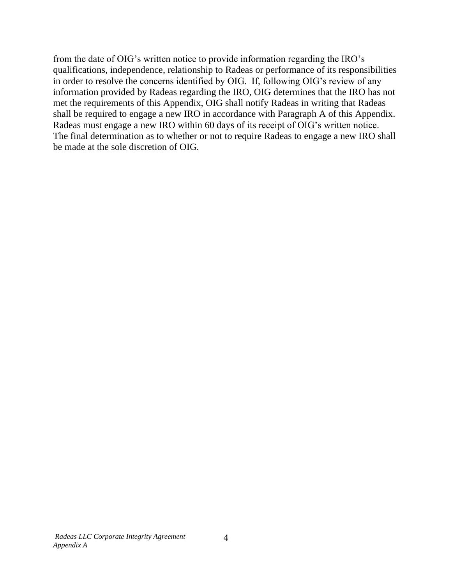from the date of OIG's written notice to provide information regarding the IRO's qualifications, independence, relationship to Radeas or performance of its responsibilities in order to resolve the concerns identified by OIG. If, following OIG's review of any information provided by Radeas regarding the IRO, OIG determines that the IRO has not met the requirements of this Appendix, OIG shall notify Radeas in writing that Radeas shall be required to engage a new IRO in accordance with Paragraph A of this Appendix. Radeas must engage a new IRO within 60 days of its receipt of OIG's written notice. The final determination as to whether or not to require Radeas to engage a new IRO shall be made at the sole discretion of OIG.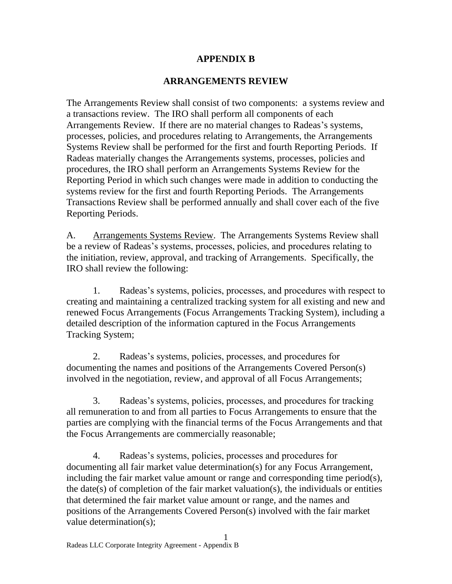### **APPENDIX B**

### **ARRANGEMENTS REVIEW**

The Arrangements Review shall consist of two components: a systems review and a transactions review. The IRO shall perform all components of each Arrangements Review. If there are no material changes to Radeas's systems, processes, policies, and procedures relating to Arrangements, the Arrangements Systems Review shall be performed for the first and fourth Reporting Periods. If Radeas materially changes the Arrangements systems, processes, policies and procedures, the IRO shall perform an Arrangements Systems Review for the Reporting Period in which such changes were made in addition to conducting the systems review for the first and fourth Reporting Periods. The Arrangements Transactions Review shall be performed annually and shall cover each of the five Reporting Periods.

A. Arrangements Systems Review. The Arrangements Systems Review shall be a review of Radeas's systems, processes, policies, and procedures relating to the initiation, review, approval, and tracking of Arrangements. Specifically, the IRO shall review the following:

1. Radeas's systems, policies, processes, and procedures with respect to creating and maintaining a centralized tracking system for all existing and new and renewed Focus Arrangements (Focus Arrangements Tracking System), including a detailed description of the information captured in the Focus Arrangements Tracking System;

2. Radeas's systems, policies, processes, and procedures for documenting the names and positions of the Arrangements Covered Person(s) involved in the negotiation, review, and approval of all Focus Arrangements;

3. Radeas's systems, policies, processes, and procedures for tracking all remuneration to and from all parties to Focus Arrangements to ensure that the parties are complying with the financial terms of the Focus Arrangements and that the Focus Arrangements are commercially reasonable;

4. Radeas's systems, policies, processes and procedures for documenting all fair market value determination(s) for any Focus Arrangement, including the fair market value amount or range and corresponding time period(s), the date(s) of completion of the fair market valuation(s), the individuals or entities that determined the fair market value amount or range, and the names and positions of the Arrangements Covered Person(s) involved with the fair market value determination(s);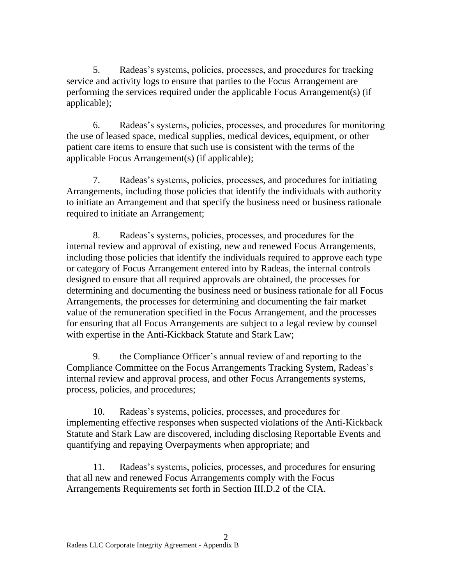5. Radeas's systems, policies, processes, and procedures for tracking service and activity logs to ensure that parties to the Focus Arrangement are performing the services required under the applicable Focus Arrangement(s) (if applicable);

6. Radeas's systems, policies, processes, and procedures for monitoring the use of leased space, medical supplies, medical devices, equipment, or other patient care items to ensure that such use is consistent with the terms of the applicable Focus Arrangement(s) (if applicable);

7. Radeas's systems, policies, processes, and procedures for initiating Arrangements, including those policies that identify the individuals with authority to initiate an Arrangement and that specify the business need or business rationale required to initiate an Arrangement;

8. Radeas's systems, policies, processes, and procedures for the internal review and approval of existing, new and renewed Focus Arrangements, including those policies that identify the individuals required to approve each type or category of Focus Arrangement entered into by Radeas, the internal controls designed to ensure that all required approvals are obtained, the processes for determining and documenting the business need or business rationale for all Focus Arrangements, the processes for determining and documenting the fair market value of the remuneration specified in the Focus Arrangement, and the processes for ensuring that all Focus Arrangements are subject to a legal review by counsel with expertise in the Anti-Kickback Statute and Stark Law;

9. the Compliance Officer's annual review of and reporting to the Compliance Committee on the Focus Arrangements Tracking System, Radeas's internal review and approval process, and other Focus Arrangements systems, process, policies, and procedures;

10. Radeas's systems, policies, processes, and procedures for implementing effective responses when suspected violations of the Anti-Kickback Statute and Stark Law are discovered, including disclosing Reportable Events and quantifying and repaying Overpayments when appropriate; and

11. Radeas's systems, policies, processes, and procedures for ensuring that all new and renewed Focus Arrangements comply with the Focus Arrangements Requirements set forth in Section III.D.2 of the CIA.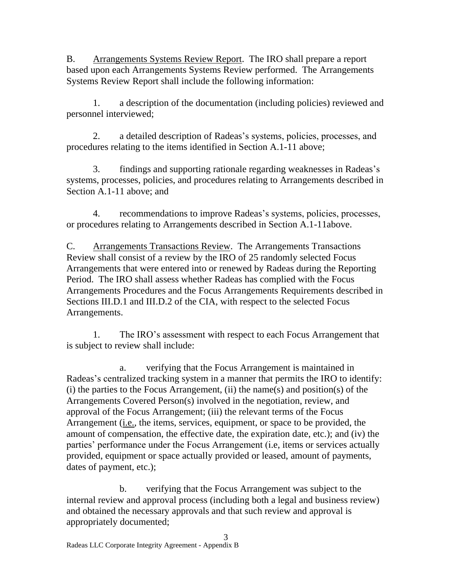B. Arrangements Systems Review Report. The IRO shall prepare a report based upon each Arrangements Systems Review performed. The Arrangements Systems Review Report shall include the following information:

1. a description of the documentation (including policies) reviewed and personnel interviewed;

2. a detailed description of Radeas's systems, policies, processes, and procedures relating to the items identified in Section A.1-11 above;

3. findings and supporting rationale regarding weaknesses in Radeas's systems, processes, policies, and procedures relating to Arrangements described in Section A.1-11 above; and

4. recommendations to improve Radeas's systems, policies, processes, or procedures relating to Arrangements described in Section A.1-11above.

C. Arrangements Transactions Review. The Arrangements Transactions Review shall consist of a review by the IRO of 25 randomly selected Focus Arrangements that were entered into or renewed by Radeas during the Reporting Period. The IRO shall assess whether Radeas has complied with the Focus Arrangements Procedures and the Focus Arrangements Requirements described in Sections III.D.1 and III.D.2 of the CIA, with respect to the selected Focus Arrangements.

1. The IRO's assessment with respect to each Focus Arrangement that is subject to review shall include:

a. verifying that the Focus Arrangement is maintained in Radeas's centralized tracking system in a manner that permits the IRO to identify:  $(i)$  the parties to the Focus Arrangement,  $(ii)$  the name(s) and position(s) of the Arrangements Covered Person(s) involved in the negotiation, review, and approval of the Focus Arrangement; (iii) the relevant terms of the Focus Arrangement (i.e., the items, services, equipment, or space to be provided, the amount of compensation, the effective date, the expiration date, etc.); and (iv) the parties' performance under the Focus Arrangement (i.e, items or services actually provided, equipment or space actually provided or leased, amount of payments, dates of payment, etc.);

b. verifying that the Focus Arrangement was subject to the internal review and approval process (including both a legal and business review) and obtained the necessary approvals and that such review and approval is appropriately documented;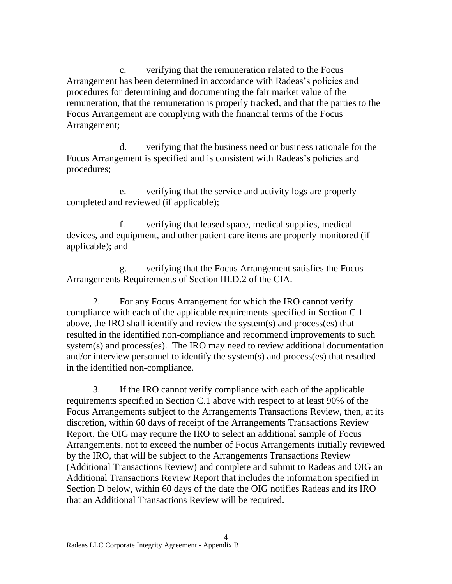c. verifying that the remuneration related to the Focus Arrangement has been determined in accordance with Radeas's policies and procedures for determining and documenting the fair market value of the remuneration, that the remuneration is properly tracked, and that the parties to the Focus Arrangement are complying with the financial terms of the Focus Arrangement;

d. verifying that the business need or business rationale for the Focus Arrangement is specified and is consistent with Radeas's policies and procedures;

e. verifying that the service and activity logs are properly completed and reviewed (if applicable);

f. verifying that leased space, medical supplies, medical devices, and equipment, and other patient care items are properly monitored (if applicable); and

g. verifying that the Focus Arrangement satisfies the Focus

Arrangements Requirements of Section III.D.2 of the CIA.<br>2. For any Focus Arrangement for which the IRO cannot verify compliance with each of the applicable requirements specified in Section C.1 above, the IRO shall identify and review the system(s) and process(es) that resulted in the identified non-compliance and recommend improvements to such system(s) and process(es). The IRO may need to review additional documentation and/or interview personnel to identify the system(s) and process(es) that resulted in the identified non-compliance.

3. If the IRO cannot verify compliance with each of the applicable requirements specified in Section C.1 above with respect to at least 90% of the Focus Arrangements subject to the Arrangements Transactions Review, then, at its discretion, within 60 days of receipt of the Arrangements Transactions Review Report, the OIG may require the IRO to select an additional sample of Focus Arrangements, not to exceed the number of Focus Arrangements initially reviewed by the IRO, that will be subject to the Arrangements Transactions Review (Additional Transactions Review) and complete and submit to Radeas and OIG an Additional Transactions Review Report that includes the information specified in Section D below, within 60 days of the date the OIG notifies Radeas and its IRO that an Additional Transactions Review will be required.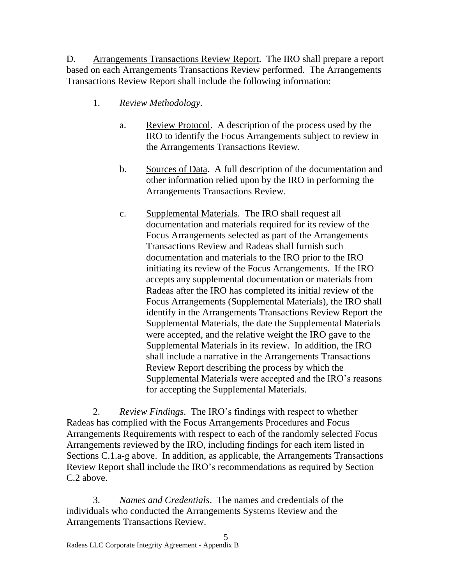D. Arrangements Transactions Review Report. The IRO shall prepare a report based on each Arrangements Transactions Review performed. The Arrangements Transactions Review Report shall include the following information:

- 1. *Review Methodology*.
	- a. Review Protocol. A description of the process used by the IRO to identify the Focus Arrangements subject to review in the Arrangements Transactions Review.
	- b. Sources of Data. A full description of the documentation and other information relied upon by the IRO in performing the Arrangements Transactions Review.
	- c. Supplemental Materials. The IRO shall request all documentation and materials required for its review of the Focus Arrangements selected as part of the Arrangements Transactions Review and Radeas shall furnish such documentation and materials to the IRO prior to the IRO initiating its review of the Focus Arrangements. If the IRO accepts any supplemental documentation or materials from Radeas after the IRO has completed its initial review of the Focus Arrangements (Supplemental Materials), the IRO shall identify in the Arrangements Transactions Review Report the Supplemental Materials, the date the Supplemental Materials were accepted, and the relative weight the IRO gave to the Supplemental Materials in its review. In addition, the IRO shall include a narrative in the Arrangements Transactions Review Report describing the process by which the Supplemental Materials were accepted and the IRO's reasons for accepting the Supplemental Materials.

2. *Review Findings*. The IRO's findings with respect to whether Radeas has complied with the Focus Arrangements Procedures and Focus Arrangements Requirements with respect to each of the randomly selected Focus Arrangements reviewed by the IRO, including findings for each item listed in Sections C.1.a-g above. In addition, as applicable, the Arrangements Transactions Review Report shall include the IRO's recommendations as required by Section C.2 above.

3. *Names and Credentials*. The names and credentials of the individuals who conducted the Arrangements Systems Review and the Arrangements Transactions Review.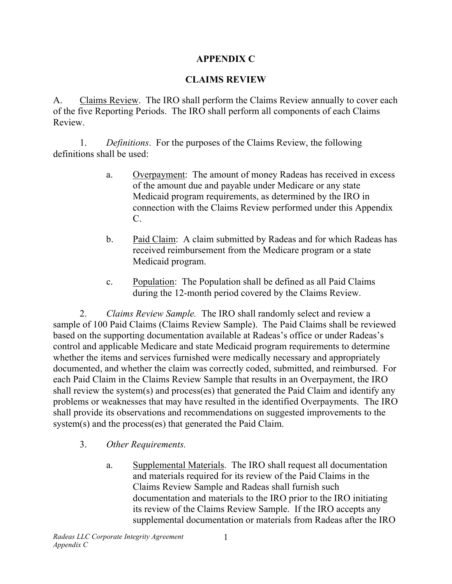# **APPENDIX C**

# **CLAIMS REVIEW**

A. Claims Review. The IRO shall perform the Claims Review annually to cover each of the five Reporting Periods. The IRO shall perform all components of each Claims Review.

1. *Definitions*. For the purposes of the Claims Review, the following definitions shall be used:

- a. Overpayment: The amount of money Radeas has received in excess of the amount due and payable under Medicare or any state Medicaid program requirements, as determined by the IRO in connection with the Claims Review performed under this Appendix C.
- b. Paid Claim: A claim submitted by Radeas and for which Radeas has Medicaid program. received reimbursement from the Medicare program or a state
- c. Population: The Population shall be defined as all Paid Claims during the 12-month period covered by the Claims Review.

 2. *Claims Review Sample.* The IRO shall randomly select and review a sample of 100 Paid Claims (Claims Review Sample). The Paid Claims shall be reviewed based on the supporting documentation available at Radeas's office or under Radeas's control and applicable Medicare and state Medicaid program requirements to determine whether the items and services furnished were medically necessary and appropriately documented, and whether the claim was correctly coded, submitted, and reimbursed. For each Paid Claim in the Claims Review Sample that results in an Overpayment, the IRO shall review the system(s) and process(es) that generated the Paid Claim and identify any problems or weaknesses that may have resulted in the identified Overpayments. The IRO shall provide its observations and recommendations on suggested improvements to the system(s) and the process(es) that generated the Paid Claim.

- 3. *Other Requirements.* 
	- a. Supplemental Materials. The IRO shall request all documentation and materials required for its review of the Paid Claims in the Claims Review Sample and Radeas shall furnish such documentation and materials to the IRO prior to the IRO initiating its review of the Claims Review Sample. If the IRO accepts any supplemental documentation or materials from Radeas after the IRO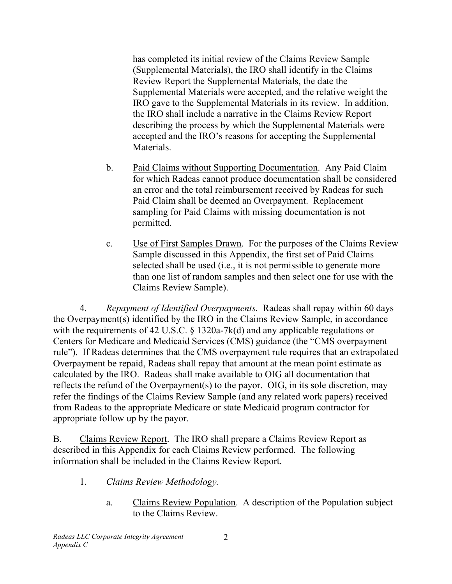has completed its initial review of the Claims Review Sample (Supplemental Materials), the IRO shall identify in the Claims Review Report the Supplemental Materials, the date the Supplemental Materials were accepted, and the relative weight the IRO gave to the Supplemental Materials in its review. In addition, the IRO shall include a narrative in the Claims Review Report describing the process by which the Supplemental Materials were accepted and the IRO's reasons for accepting the Supplemental Materials.

- b. Paid Claims without Supporting Documentation. Any Paid Claim for which Radeas cannot produce documentation shall be considered an error and the total reimbursement received by Radeas for such Paid Claim shall be deemed an Overpayment. Replacement sampling for Paid Claims with missing documentation is not permitted.
- c. Use of First Samples Drawn. For the purposes of the Claims Review Sample discussed in this Appendix, the first set of Paid Claims selected shall be used (i.e., it is not permissible to generate more than one list of random samples and then select one for use with the Claims Review Sample).

4. *Repayment of Identified Overpayments.* Radeas shall repay within 60 days the Overpayment(s) identified by the IRO in the Claims Review Sample, in accordance with the requirements of 42 U.S.C. § 1320a-7k(d) and any applicable regulations or Centers for Medicare and Medicaid Services (CMS) guidance (the "CMS overpayment rule"). If Radeas determines that the CMS overpayment rule requires that an extrapolated Overpayment be repaid, Radeas shall repay that amount at the mean point estimate as calculated by the IRO. Radeas shall make available to OIG all documentation that reflects the refund of the Overpayment(s) to the payor. OIG, in its sole discretion, may refer the findings of the Claims Review Sample (and any related work papers) received from Radeas to the appropriate Medicare or state Medicaid program contractor for appropriate follow up by the payor.

B. Claims Review Report. The IRO shall prepare a Claims Review Report as described in this Appendix for each Claims Review performed. The following information shall be included in the Claims Review Report.

- 1. *Claims Review Methodology.* 
	- a. Claims Review Population. A description of the Population subject to the Claims Review.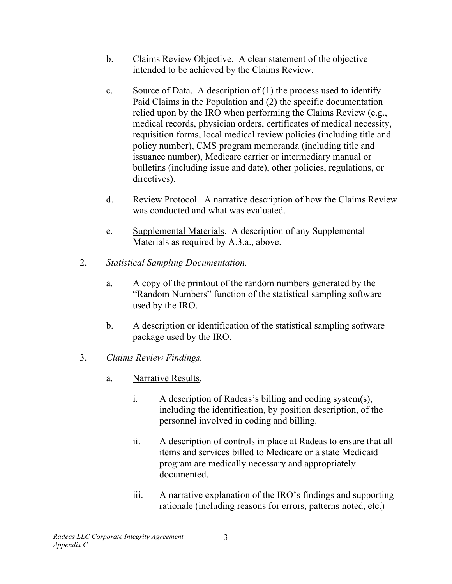- b. Claims Review Objective. A clear statement of the objective intended to be achieved by the Claims Review.
- c. Source of Data. A description of (1) the process used to identify Paid Claims in the Population and (2) the specific documentation relied upon by the IRO when performing the Claims Review (e.g., medical records, physician orders, certificates of medical necessity, requisition forms, local medical review policies (including title and policy number), CMS program memoranda (including title and issuance number), Medicare carrier or intermediary manual or bulletins (including issue and date), other policies, regulations, or directives).
- d. Review Protocol. A narrative description of how the Claims Review was conducted and what was evaluated.
- e. Supplemental Materials. A description of any Supplemental Materials as required by A.3.a., above.
- 2. *Statistical Sampling Documentation.* 
	- a. A copy of the printout of the random numbers generated by the "Random Numbers" function of the statistical sampling software used by the IRO.
	- b. A description or identification of the statistical sampling software package used by the IRO.
- 3. *Claims Review Findings.* 
	- a. Narrative Results.
		- i. A description of Radeas's billing and coding system(s), including the identification, by position description, of the personnel involved in coding and billing.
		- ii. A description of controls in place at Radeas to ensure that all items and services billed to Medicare or a state Medicaid program are medically necessary and appropriately documented.
		- iii. A narrative explanation of the IRO's findings and supporting rationale (including reasons for errors, patterns noted, etc.)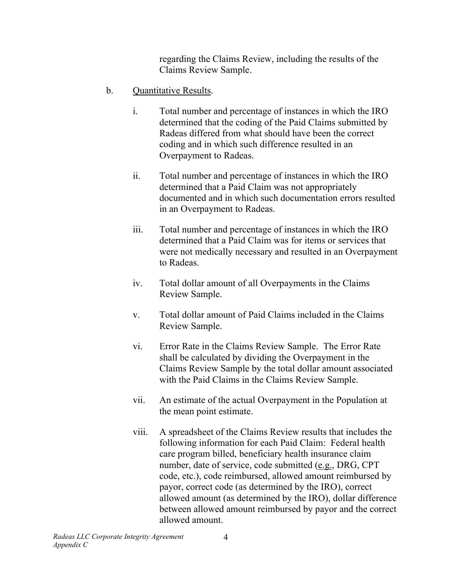regarding the Claims Review, including the results of the Claims Review Sample.

- b. Quantitative Results.
	- i. Total number and percentage of instances in which the IRO determined that the coding of the Paid Claims submitted by Radeas differed from what should have been the correct coding and in which such difference resulted in an Overpayment to Radeas.
	- ii. Total number and percentage of instances in which the IRO determined that a Paid Claim was not appropriately documented and in which such documentation errors resulted in an Overpayment to Radeas.
	- iii. Total number and percentage of instances in which the IRO determined that a Paid Claim was for items or services that were not medically necessary and resulted in an Overpayment to Radeas.
	- iv. Total dollar amount of all Overpayments in the Claims Review Sample.
	- v. Total dollar amount of Paid Claims included in the Claims Review Sample.
	- vi. Error Rate in the Claims Review Sample. The Error Rate shall be calculated by dividing the Overpayment in the Claims Review Sample by the total dollar amount associated with the Paid Claims in the Claims Review Sample.
	- vii. An estimate of the actual Overpayment in the Population at the mean point estimate.
	- viii. A spreadsheet of the Claims Review results that includes the following information for each Paid Claim: Federal health care program billed, beneficiary health insurance claim number, date of service, code submitted (e.g., DRG, CPT code, etc.), code reimbursed, allowed amount reimbursed by payor, correct code (as determined by the IRO), correct allowed amount (as determined by the IRO), dollar difference between allowed amount reimbursed by payor and the correct allowed amount.